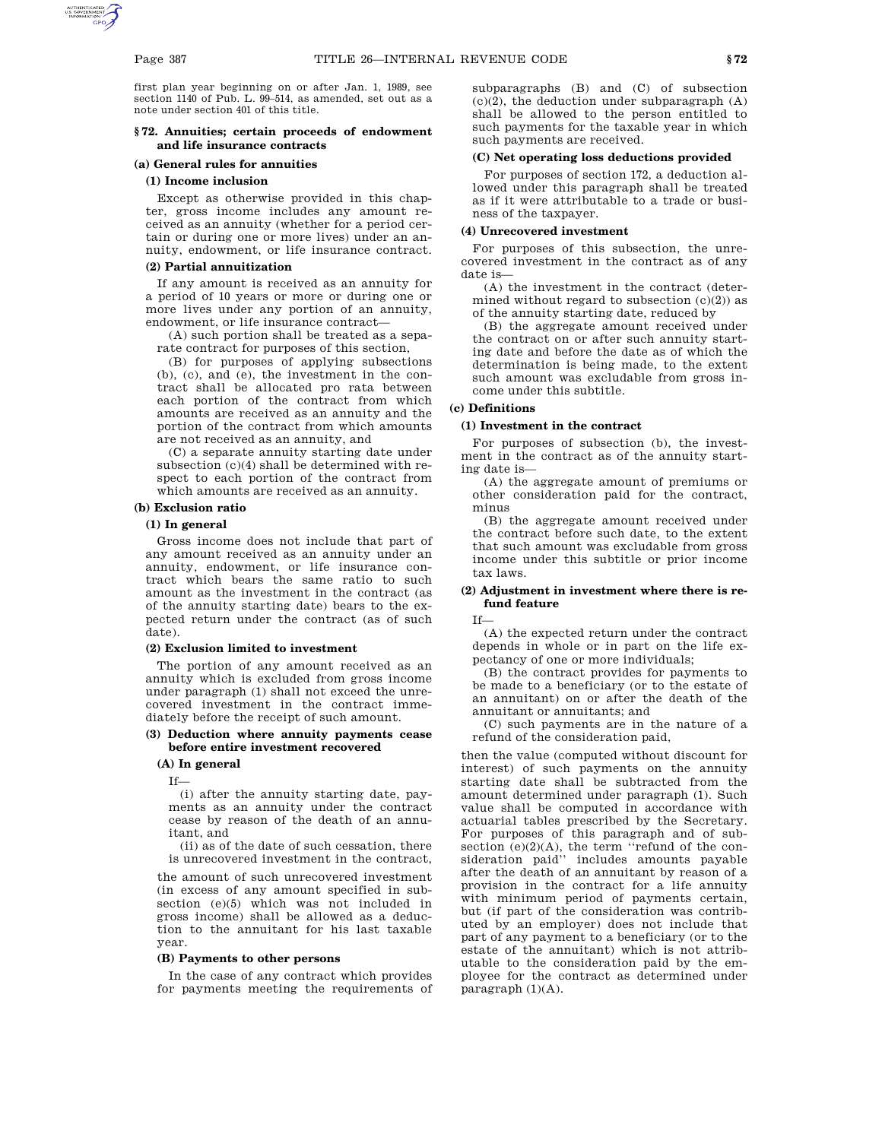first plan year beginning on or after Jan. 1, 1989, see section 1140 of Pub. L. 99–514, as amended, set out as a note under section 401 of this title.

### **§ 72. Annuities; certain proceeds of endowment and life insurance contracts**

# **(a) General rules for annuities**

# **(1) Income inclusion**

Except as otherwise provided in this chapter, gross income includes any amount received as an annuity (whether for a period certain or during one or more lives) under an annuity, endowment, or life insurance contract.

#### **(2) Partial annuitization**

If any amount is received as an annuity for a period of 10 years or more or during one or more lives under any portion of an annuity, endowment, or life insurance contract—

(A) such portion shall be treated as a separate contract for purposes of this section,

(B) for purposes of applying subsections (b), (c), and (e), the investment in the contract shall be allocated pro rata between each portion of the contract from which amounts are received as an annuity and the portion of the contract from which amounts are not received as an annuity, and

(C) a separate annuity starting date under subsection (c)(4) shall be determined with respect to each portion of the contract from which amounts are received as an annuity.

#### **(b) Exclusion ratio**

### **(1) In general**

Gross income does not include that part of any amount received as an annuity under an annuity, endowment, or life insurance contract which bears the same ratio to such amount as the investment in the contract (as of the annuity starting date) bears to the expected return under the contract (as of such date).

### **(2) Exclusion limited to investment**

The portion of any amount received as an annuity which is excluded from gross income under paragraph (1) shall not exceed the unrecovered investment in the contract immediately before the receipt of such amount.

### **(3) Deduction where annuity payments cease before entire investment recovered**

#### **(A) In general**

If—

(i) after the annuity starting date, payments as an annuity under the contract cease by reason of the death of an annuitant, and

(ii) as of the date of such cessation, there is unrecovered investment in the contract,

the amount of such unrecovered investment (in excess of any amount specified in subsection (e)(5) which was not included in gross income) shall be allowed as a deduction to the annuitant for his last taxable year.

#### **(B) Payments to other persons**

In the case of any contract which provides for payments meeting the requirements of subparagraphs (B) and (C) of subsection  $(c)(2)$ , the deduction under subparagraph  $(A)$ shall be allowed to the person entitled to such payments for the taxable year in which such payments are received.

### **(C) Net operating loss deductions provided**

For purposes of section 172, a deduction allowed under this paragraph shall be treated as if it were attributable to a trade or business of the taxpayer.

#### **(4) Unrecovered investment**

For purposes of this subsection, the unrecovered investment in the contract as of any date is—

(A) the investment in the contract (determined without regard to subsection  $(c)(2)$  as of the annuity starting date, reduced by

(B) the aggregate amount received under the contract on or after such annuity starting date and before the date as of which the determination is being made, to the extent such amount was excludable from gross income under this subtitle.

# **(c) Definitions**

### **(1) Investment in the contract**

For purposes of subsection (b), the investment in the contract as of the annuity starting date is—

(A) the aggregate amount of premiums or other consideration paid for the contract, minus

(B) the aggregate amount received under the contract before such date, to the extent that such amount was excludable from gross income under this subtitle or prior income tax laws.

### **(2) Adjustment in investment where there is refund feature**

If—

(A) the expected return under the contract depends in whole or in part on the life expectancy of one or more individuals;

(B) the contract provides for payments to be made to a beneficiary (or to the estate of an annuitant) on or after the death of the annuitant or annuitants; and

(C) such payments are in the nature of a refund of the consideration paid,

then the value (computed without discount for interest) of such payments on the annuity starting date shall be subtracted from the amount determined under paragraph (1). Such value shall be computed in accordance with actuarial tables prescribed by the Secretary. For purposes of this paragraph and of subsection (e)(2)(A), the term "refund of the consideration paid'' includes amounts payable after the death of an annuitant by reason of a provision in the contract for a life annuity with minimum period of payments certain, but (if part of the consideration was contributed by an employer) does not include that part of any payment to a beneficiary (or to the estate of the annuitant) which is not attributable to the consideration paid by the employee for the contract as determined under paragraph (1)(A).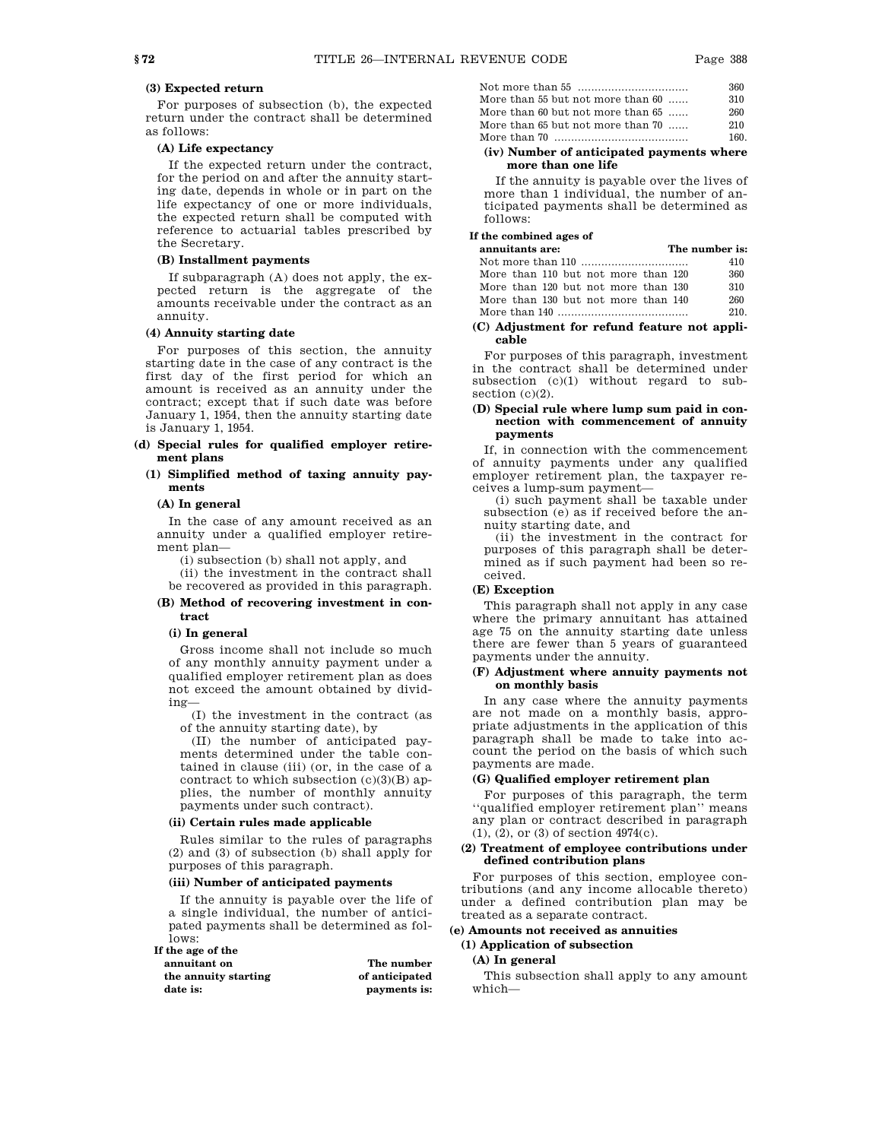# **(3) Expected return**

For purposes of subsection (b), the expected return under the contract shall be determined as follows:

## **(A) Life expectancy**

If the expected return under the contract, for the period on and after the annuity starting date, depends in whole or in part on the life expectancy of one or more individuals, the expected return shall be computed with reference to actuarial tables prescribed by the Secretary.

### **(B) Installment payments**

If subparagraph (A) does not apply, the expected return is the aggregate of the amounts receivable under the contract as an annuity.

#### **(4) Annuity starting date**

For purposes of this section, the annuity starting date in the case of any contract is the first day of the first period for which an amount is received as an annuity under the contract; except that if such date was before January 1, 1954, then the annuity starting date is January 1, 1954.

### **(d) Special rules for qualified employer retirement plans**

### **(1) Simplified method of taxing annuity payments**

#### **(A) In general**

In the case of any amount received as an annuity under a qualified employer retirement plan—

(i) subsection (b) shall not apply, and

(ii) the investment in the contract shall be recovered as provided in this paragraph.

#### **(B) Method of recovering investment in contract**

#### **(i) In general**

Gross income shall not include so much of any monthly annuity payment under a qualified employer retirement plan as does not exceed the amount obtained by dividing—

(I) the investment in the contract (as of the annuity starting date), by

(II) the number of anticipated payments determined under the table contained in clause (iii) (or, in the case of a contract to which subsection (c)(3)(B) applies, the number of monthly annuity payments under such contract).

#### **(ii) Certain rules made applicable**

Rules similar to the rules of paragraphs (2) and (3) of subsection (b) shall apply for purposes of this paragraph.

### **(iii) Number of anticipated payments**

If the annuity is payable over the life of a single individual, the number of anticipated payments shall be determined as follows:

# **If the age of the**

| annuitant on         | The number     |
|----------------------|----------------|
| the annuity starting | of anticipated |
| date is:             | payments is:   |

|                                   | 360  |
|-----------------------------------|------|
| More than 55 but not more than 60 | 310  |
| More than 60 but not more than 65 | 260  |
| More than 65 but not more than 70 | 210  |
|                                   | 160. |
|                                   |      |

**(iv) Number of anticipated payments where more than one life**

If the annuity is payable over the lives of more than 1 individual, the number of anticipated payments shall be determined as follows:

### **If the combined ages of**

| annuitants are:                     | The number is: |
|-------------------------------------|----------------|
|                                     | 410            |
| More than 110 but not more than 120 | 360            |
| More than 120 but not more than 130 | 310            |
| More than 130 but not more than 140 | 260            |
|                                     | 210            |

### **(C) Adjustment for refund feature not applicable**

For purposes of this paragraph, investment in the contract shall be determined under subsection (c)(1) without regard to subsection  $(c)(2)$ .

### **(D) Special rule where lump sum paid in connection with commencement of annuity payments**

If, in connection with the commencement of annuity payments under any qualified employer retirement plan, the taxpayer receives a lump-sum payment—

(i) such payment shall be taxable under subsection (e) as if received before the annuity starting date, and

(ii) the investment in the contract for purposes of this paragraph shall be determined as if such payment had been so received.

### **(E) Exception**

This paragraph shall not apply in any case where the primary annuitant has attained age 75 on the annuity starting date unless there are fewer than 5 years of guaranteed payments under the annuity.

#### **(F) Adjustment where annuity payments not on monthly basis**

In any case where the annuity payments are not made on a monthly basis, appropriate adjustments in the application of this paragraph shall be made to take into account the period on the basis of which such payments are made.

#### **(G) Qualified employer retirement plan**

For purposes of this paragraph, the term ''qualified employer retirement plan'' means any plan or contract described in paragraph (1), (2), or (3) of section 4974(c).

### **(2) Treatment of employee contributions under defined contribution plans**

For purposes of this section, employee contributions (and any income allocable thereto) under a defined contribution plan may be treated as a separate contract.

# **(e) Amounts not received as annuities**

# **(1) Application of subsection**

# **(A) In general**

This subsection shall apply to any amount which—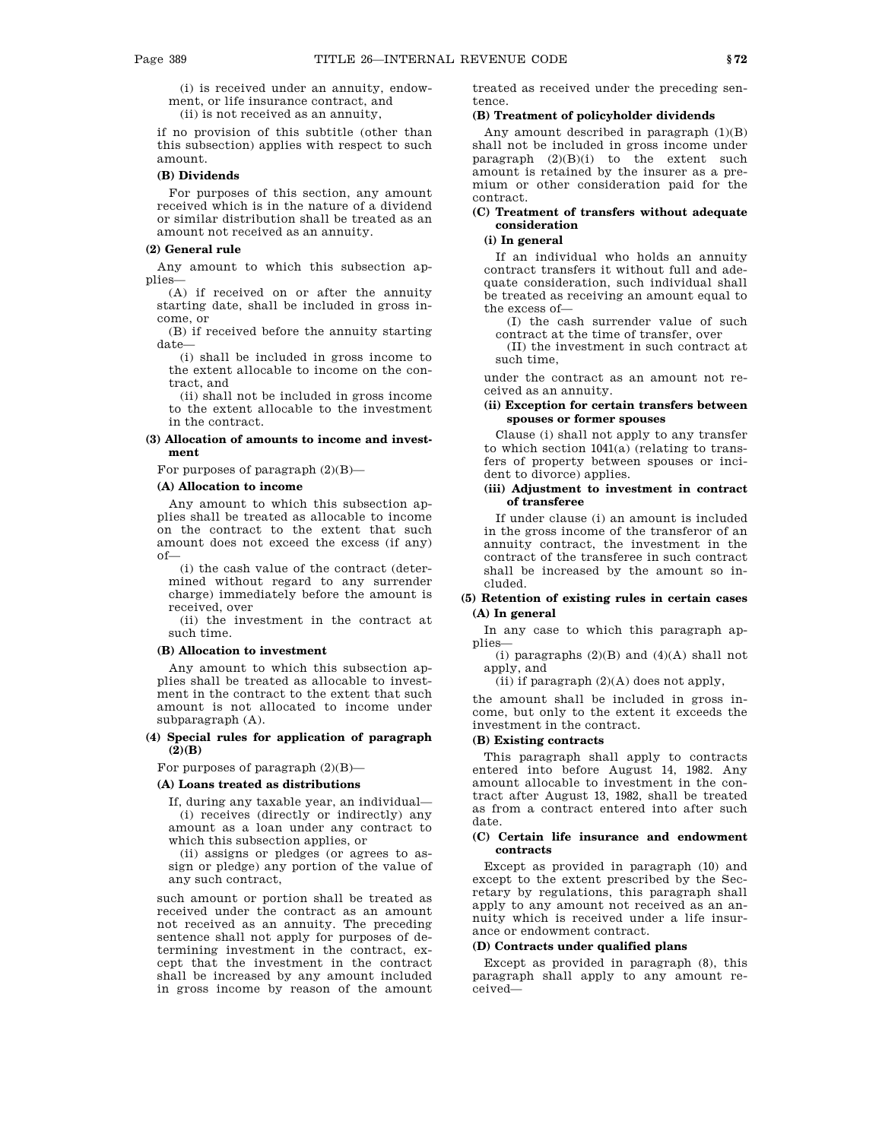(i) is received under an annuity, endowment, or life insurance contract, and

(ii) is not received as an annuity,

if no provision of this subtitle (other than this subsection) applies with respect to such amount.

### **(B) Dividends**

For purposes of this section, any amount received which is in the nature of a dividend or similar distribution shall be treated as an amount not received as an annuity.

#### **(2) General rule**

Any amount to which this subsection applies—

(A) if received on or after the annuity starting date, shall be included in gross income, or

(B) if received before the annuity starting date—

(i) shall be included in gross income to the extent allocable to income on the contract, and

(ii) shall not be included in gross income to the extent allocable to the investment in the contract.

#### **(3) Allocation of amounts to income and investment**

For purposes of paragraph  $(2)(B)$ —

#### **(A) Allocation to income**

Any amount to which this subsection applies shall be treated as allocable to income on the contract to the extent that such amount does not exceed the excess (if any) of—

(i) the cash value of the contract (determined without regard to any surrender charge) immediately before the amount is received, over

(ii) the investment in the contract at such time.

### **(B) Allocation to investment**

Any amount to which this subsection applies shall be treated as allocable to investment in the contract to the extent that such amount is not allocated to income under subparagraph (A).

### **(4) Special rules for application of paragraph (2)(B)**

For purposes of paragraph  $(2)(B)$ —

#### **(A) Loans treated as distributions**

If, during any taxable year, an individual— (i) receives (directly or indirectly) any amount as a loan under any contract to which this subsection applies, or

(ii) assigns or pledges (or agrees to assign or pledge) any portion of the value of any such contract,

such amount or portion shall be treated as received under the contract as an amount not received as an annuity. The preceding sentence shall not apply for purposes of determining investment in the contract, except that the investment in the contract shall be increased by any amount included in gross income by reason of the amount

treated as received under the preceding sentence.

#### **(B) Treatment of policyholder dividends**

Any amount described in paragraph  $(1)(B)$ shall not be included in gross income under paragraph  $(2)(B)(i)$  to the extent such amount is retained by the insurer as a premium or other consideration paid for the contract.

## **(C) Treatment of transfers without adequate consideration**

# **(i) In general**

If an individual who holds an annuity contract transfers it without full and adequate consideration, such individual shall be treated as receiving an amount equal to the excess of—

(I) the cash surrender value of such contract at the time of transfer, over

(II) the investment in such contract at such time,

under the contract as an amount not received as an annuity.

### **(ii) Exception for certain transfers between spouses or former spouses**

Clause (i) shall not apply to any transfer to which section 1041(a) (relating to transfers of property between spouses or incident to divorce) applies.

### **(iii) Adjustment to investment in contract of transferee**

If under clause (i) an amount is included in the gross income of the transferor of an annuity contract, the investment in the contract of the transferee in such contract shall be increased by the amount so included.

## **(5) Retention of existing rules in certain cases (A) In general**

In any case to which this paragraph applies—

(i) paragraphs  $(2)(B)$  and  $(4)(A)$  shall not apply, and

(ii) if paragraph  $(2)(A)$  does not apply,

the amount shall be included in gross income, but only to the extent it exceeds the investment in the contract.

### **(B) Existing contracts**

This paragraph shall apply to contracts entered into before August 14, 1982. Any amount allocable to investment in the contract after August 13, 1982, shall be treated as from a contract entered into after such date.

#### **(C) Certain life insurance and endowment contracts**

Except as provided in paragraph (10) and except to the extent prescribed by the Secretary by regulations, this paragraph shall apply to any amount not received as an annuity which is received under a life insurance or endowment contract.

#### **(D) Contracts under qualified plans**

Except as provided in paragraph (8), this paragraph shall apply to any amount received—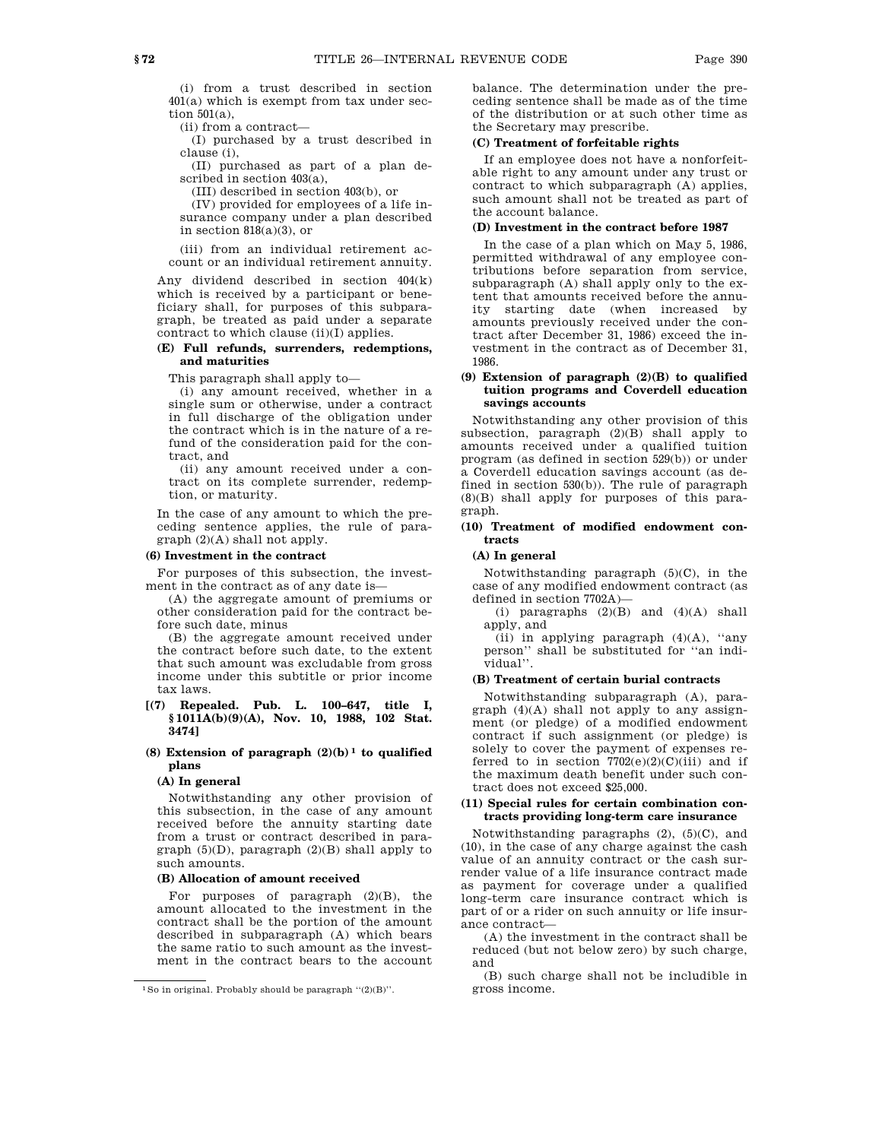(i) from a trust described in section 401(a) which is exempt from tax under section 501(a),

(ii) from a contract—

(I) purchased by a trust described in clause (i),

(II) purchased as part of a plan described in section 403(a),

(III) described in section 403(b), or

(IV) provided for employees of a life insurance company under a plan described in section  $818(a)(3)$ , or

(iii) from an individual retirement account or an individual retirement annuity.

Any dividend described in section 404(k) which is received by a participant or beneficiary shall, for purposes of this subparagraph, be treated as paid under a separate contract to which clause (ii)(I) applies.

## **(E) Full refunds, surrenders, redemptions, and maturities**

This paragraph shall apply to—

(i) any amount received, whether in a single sum or otherwise, under a contract in full discharge of the obligation under the contract which is in the nature of a refund of the consideration paid for the contract, and

(ii) any amount received under a contract on its complete surrender, redemption, or maturity.

In the case of any amount to which the preceding sentence applies, the rule of paragraph (2)(A) shall not apply.

# **(6) Investment in the contract**

For purposes of this subsection, the investment in the contract as of any date is—

(A) the aggregate amount of premiums or other consideration paid for the contract before such date, minus

(B) the aggregate amount received under the contract before such date, to the extent that such amount was excludable from gross income under this subtitle or prior income tax laws.

### **[(7) Repealed. Pub. L. 100–647, title I, § 1011A(b)(9)(A), Nov. 10, 1988, 102 Stat. 3474]**

### **(8) Extension of paragraph (2)(b) 1 to qualified plans**

## **(A) In general**

Notwithstanding any other provision of this subsection, in the case of any amount received before the annuity starting date from a trust or contract described in paragraph  $(5)(D)$ , paragraph  $(2)(B)$  shall apply to such amounts.

#### **(B) Allocation of amount received**

For purposes of paragraph  $(2)(B)$ , the amount allocated to the investment in the contract shall be the portion of the amount described in subparagraph (A) which bears the same ratio to such amount as the investment in the contract bears to the account balance. The determination under the preceding sentence shall be made as of the time of the distribution or at such other time as the Secretary may prescribe.

#### **(C) Treatment of forfeitable rights**

If an employee does not have a nonforfeitable right to any amount under any trust or contract to which subparagraph (A) applies, such amount shall not be treated as part of the account balance.

### **(D) Investment in the contract before 1987**

In the case of a plan which on May 5, 1986, permitted withdrawal of any employee contributions before separation from service, subparagraph (A) shall apply only to the extent that amounts received before the annuity starting date (when increased by amounts previously received under the contract after December 31, 1986) exceed the investment in the contract as of December 31, 1986.

### **(9) Extension of paragraph (2)(B) to qualified tuition programs and Coverdell education savings accounts**

Notwithstanding any other provision of this subsection, paragraph  $(2)(B)$  shall apply to amounts received under a qualified tuition program (as defined in section 529(b)) or under a Coverdell education savings account (as defined in section 530(b)). The rule of paragraph (8)(B) shall apply for purposes of this paragraph.

### **(10) Treatment of modified endowment contracts**

#### **(A) In general**

Notwithstanding paragraph  $(5)(C)$ , in the case of any modified endowment contract (as defined in section 7702A)—

(i) paragraphs  $(2)(B)$  and  $(4)(A)$  shall apply, and

(ii) in applying paragraph (4)(A), ''any person'' shall be substituted for ''an individual''.

### **(B) Treatment of certain burial contracts**

Notwithstanding subparagraph (A), paragraph (4)(A) shall not apply to any assignment (or pledge) of a modified endowment contract if such assignment (or pledge) is solely to cover the payment of expenses referred to in section  $7702(e)(2)(C)(iii)$  and if the maximum death benefit under such contract does not exceed \$25,000.

### **(11) Special rules for certain combination contracts providing long-term care insurance**

Notwithstanding paragraphs  $(2)$ ,  $(5)(C)$ , and (10), in the case of any charge against the cash value of an annuity contract or the cash surrender value of a life insurance contract made as payment for coverage under a qualified long-term care insurance contract which is part of or a rider on such annuity or life insurance contract—

(A) the investment in the contract shall be reduced (but not below zero) by such charge, and

(B) such charge shall not be includible in gross income.

<sup>1</sup>So in original. Probably should be paragraph ''(2)(B)''.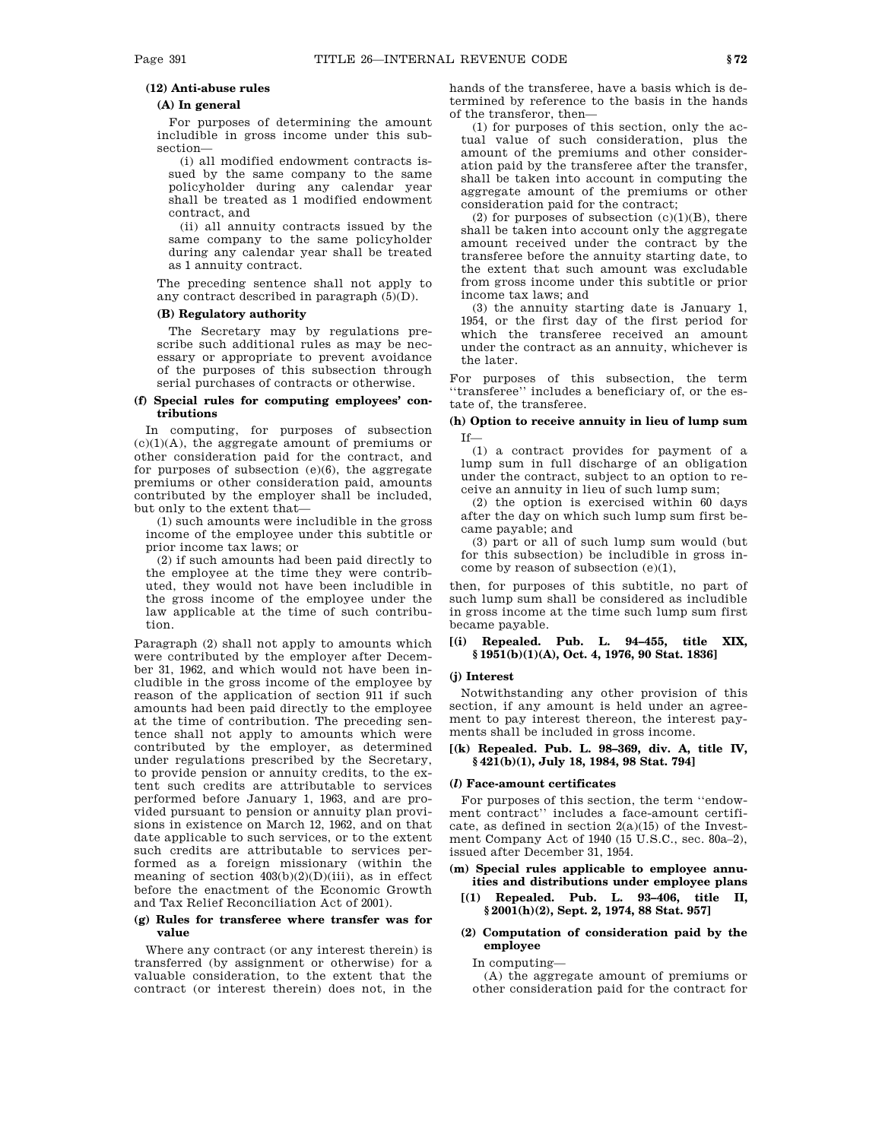### **(12) Anti-abuse rules**

### **(A) In general**

For purposes of determining the amount includible in gross income under this subsection—

(i) all modified endowment contracts issued by the same company to the same policyholder during any calendar year shall be treated as 1 modified endowment contract, and

(ii) all annuity contracts issued by the same company to the same policyholder during any calendar year shall be treated as 1 annuity contract.

The preceding sentence shall not apply to any contract described in paragraph (5)(D).

## **(B) Regulatory authority**

The Secretary may by regulations prescribe such additional rules as may be necessary or appropriate to prevent avoidance of the purposes of this subsection through serial purchases of contracts or otherwise.

### **(f) Special rules for computing employees' contributions**

In computing, for purposes of subsection  $(c)(1)(A)$ , the aggregate amount of premiums or other consideration paid for the contract, and for purposes of subsection  $(e)(6)$ , the aggregate premiums or other consideration paid, amounts contributed by the employer shall be included, but only to the extent that—

(1) such amounts were includible in the gross income of the employee under this subtitle or prior income tax laws; or

(2) if such amounts had been paid directly to the employee at the time they were contributed, they would not have been includible in the gross income of the employee under the law applicable at the time of such contribution.

Paragraph (2) shall not apply to amounts which were contributed by the employer after December 31, 1962, and which would not have been includible in the gross income of the employee by reason of the application of section 911 if such amounts had been paid directly to the employee at the time of contribution. The preceding sentence shall not apply to amounts which were contributed by the employer, as determined under regulations prescribed by the Secretary, to provide pension or annuity credits, to the extent such credits are attributable to services performed before January 1, 1963, and are provided pursuant to pension or annuity plan provisions in existence on March 12, 1962, and on that date applicable to such services, or to the extent such credits are attributable to services performed as a foreign missionary (within the meaning of section  $403(b)(2)(D)(iii)$ , as in effect before the enactment of the Economic Growth and Tax Relief Reconciliation Act of 2001).

### **(g) Rules for transferee where transfer was for value**

Where any contract (or any interest therein) is transferred (by assignment or otherwise) for a valuable consideration, to the extent that the contract (or interest therein) does not, in the

hands of the transferee, have a basis which is determined by reference to the basis in the hands of the transferor, then—

(1) for purposes of this section, only the actual value of such consideration, plus the amount of the premiums and other consideration paid by the transferee after the transfer, shall be taken into account in computing the aggregate amount of the premiums or other consideration paid for the contract;

(2) for purposes of subsection  $(c)(1)(B)$ , there shall be taken into account only the aggregate amount received under the contract by the transferee before the annuity starting date, to the extent that such amount was excludable from gross income under this subtitle or prior income tax laws; and

(3) the annuity starting date is January 1, 1954, or the first day of the first period for which the transferee received an amount under the contract as an annuity, whichever is the later.

For purposes of this subsection, the term ''transferee'' includes a beneficiary of, or the estate of, the transferee.

## **(h) Option to receive annuity in lieu of lump sum** If—

(1) a contract provides for payment of a lump sum in full discharge of an obligation under the contract, subject to an option to receive an annuity in lieu of such lump sum;

(2) the option is exercised within 60 days after the day on which such lump sum first became payable; and

(3) part or all of such lump sum would (but for this subsection) be includible in gross income by reason of subsection  $(e)(1)$ ,

then, for purposes of this subtitle, no part of such lump sum shall be considered as includible in gross income at the time such lump sum first became payable.

### **[(i) Repealed. Pub. L. 94–455, title XIX, § 1951(b)(1)(A), Oct. 4, 1976, 90 Stat. 1836]**

#### **(j) Interest**

Notwithstanding any other provision of this section, if any amount is held under an agreement to pay interest thereon, the interest payments shall be included in gross income.

### **[(k) Repealed. Pub. L. 98–369, div. A, title IV, § 421(b)(1), July 18, 1984, 98 Stat. 794]**

### **(***l***) Face-amount certificates**

For purposes of this section, the term ''endowment contract'' includes a face-amount certificate, as defined in section  $2(a)(15)$  of the Investment Company Act of 1940 (15 U.S.C., sec. 80a–2), issued after December 31, 1954.

**(m) Special rules applicable to employee annuities and distributions under employee plans**

- **[(1) Repealed. Pub. L. 93–406, title II, § 2001(h)(2), Sept. 2, 1974, 88 Stat. 957]**
- **(2) Computation of consideration paid by the employee**

In computing—

(A) the aggregate amount of premiums or other consideration paid for the contract for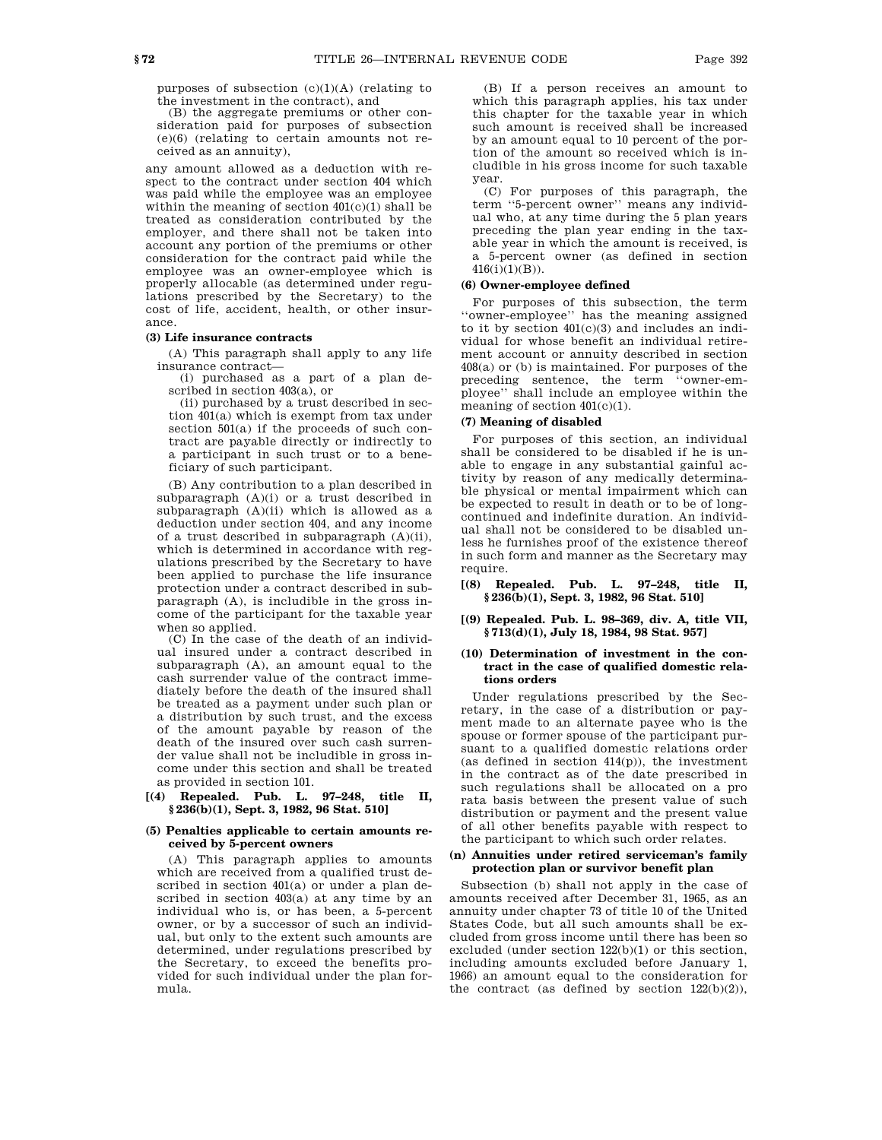purposes of subsection  $(c)(1)(A)$  (relating to the investment in the contract), and

(B) the aggregate premiums or other consideration paid for purposes of subsection (e)(6) (relating to certain amounts not received as an annuity),

any amount allowed as a deduction with respect to the contract under section 404 which was paid while the employee was an employee within the meaning of section 401(c)(1) shall be treated as consideration contributed by the employer, and there shall not be taken into account any portion of the premiums or other consideration for the contract paid while the employee was an owner-employee which is properly allocable (as determined under regulations prescribed by the Secretary) to the cost of life, accident, health, or other insurance.

### **(3) Life insurance contracts**

(A) This paragraph shall apply to any life insurance contract—

(i) purchased as a part of a plan described in section 403(a), or

(ii) purchased by a trust described in section 401(a) which is exempt from tax under section 501(a) if the proceeds of such contract are payable directly or indirectly to a participant in such trust or to a beneficiary of such participant.

(B) Any contribution to a plan described in subparagraph (A)(i) or a trust described in subparagraph (A)(ii) which is allowed as a deduction under section 404, and any income of a trust described in subparagraph (A)(ii), which is determined in accordance with regulations prescribed by the Secretary to have been applied to purchase the life insurance protection under a contract described in subparagraph (A), is includible in the gross income of the participant for the taxable year when so applied.

(C) In the case of the death of an individual insured under a contract described in subparagraph (A), an amount equal to the cash surrender value of the contract immediately before the death of the insured shall be treated as a payment under such plan or a distribution by such trust, and the excess of the amount payable by reason of the death of the insured over such cash surrender value shall not be includible in gross income under this section and shall be treated as provided in section 101.

### **[(4) Repealed. Pub. L. 97–248, title II, § 236(b)(1), Sept. 3, 1982, 96 Stat. 510]**

## **(5) Penalties applicable to certain amounts received by 5-percent owners**

(A) This paragraph applies to amounts which are received from a qualified trust described in section 401(a) or under a plan described in section 403(a) at any time by an individual who is, or has been, a 5-percent owner, or by a successor of such an individual, but only to the extent such amounts are determined, under regulations prescribed by the Secretary, to exceed the benefits provided for such individual under the plan formula.

(B) If a person receives an amount to which this paragraph applies, his tax under this chapter for the taxable year in which such amount is received shall be increased by an amount equal to 10 percent of the portion of the amount so received which is includible in his gross income for such taxable year.

(C) For purposes of this paragraph, the term ''5-percent owner'' means any individual who, at any time during the 5 plan years preceding the plan year ending in the taxable year in which the amount is received, is a 5-percent owner (as defined in section 416(i)(1)(B)).

### **(6) Owner-employee defined**

For purposes of this subsection, the term ''owner-employee'' has the meaning assigned to it by section  $401(c)(3)$  and includes an individual for whose benefit an individual retirement account or annuity described in section 408(a) or (b) is maintained. For purposes of the preceding sentence, the term ''owner-employee'' shall include an employee within the meaning of section  $401(c)(1)$ .

### **(7) Meaning of disabled**

For purposes of this section, an individual shall be considered to be disabled if he is unable to engage in any substantial gainful activity by reason of any medically determinable physical or mental impairment which can be expected to result in death or to be of longcontinued and indefinite duration. An individual shall not be considered to be disabled unless he furnishes proof of the existence thereof in such form and manner as the Secretary may require.

**[(8) Repealed. Pub. L. 97–248, title II, § 236(b)(1), Sept. 3, 1982, 96 Stat. 510]**

#### **[(9) Repealed. Pub. L. 98–369, div. A, title VII, § 713(d)(1), July 18, 1984, 98 Stat. 957]**

#### **(10) Determination of investment in the contract in the case of qualified domestic relations orders**

Under regulations prescribed by the Secretary, in the case of a distribution or payment made to an alternate payee who is the spouse or former spouse of the participant pursuant to a qualified domestic relations order (as defined in section  $414(p)$ ), the investment in the contract as of the date prescribed in such regulations shall be allocated on a pro rata basis between the present value of such distribution or payment and the present value of all other benefits payable with respect to the participant to which such order relates.

### **(n) Annuities under retired serviceman's family protection plan or survivor benefit plan**

Subsection (b) shall not apply in the case of amounts received after December 31, 1965, as an annuity under chapter 73 of title 10 of the United States Code, but all such amounts shall be excluded from gross income until there has been so excluded (under section 122(b)(1) or this section, including amounts excluded before January 1, 1966) an amount equal to the consideration for the contract (as defined by section 122(b)(2)),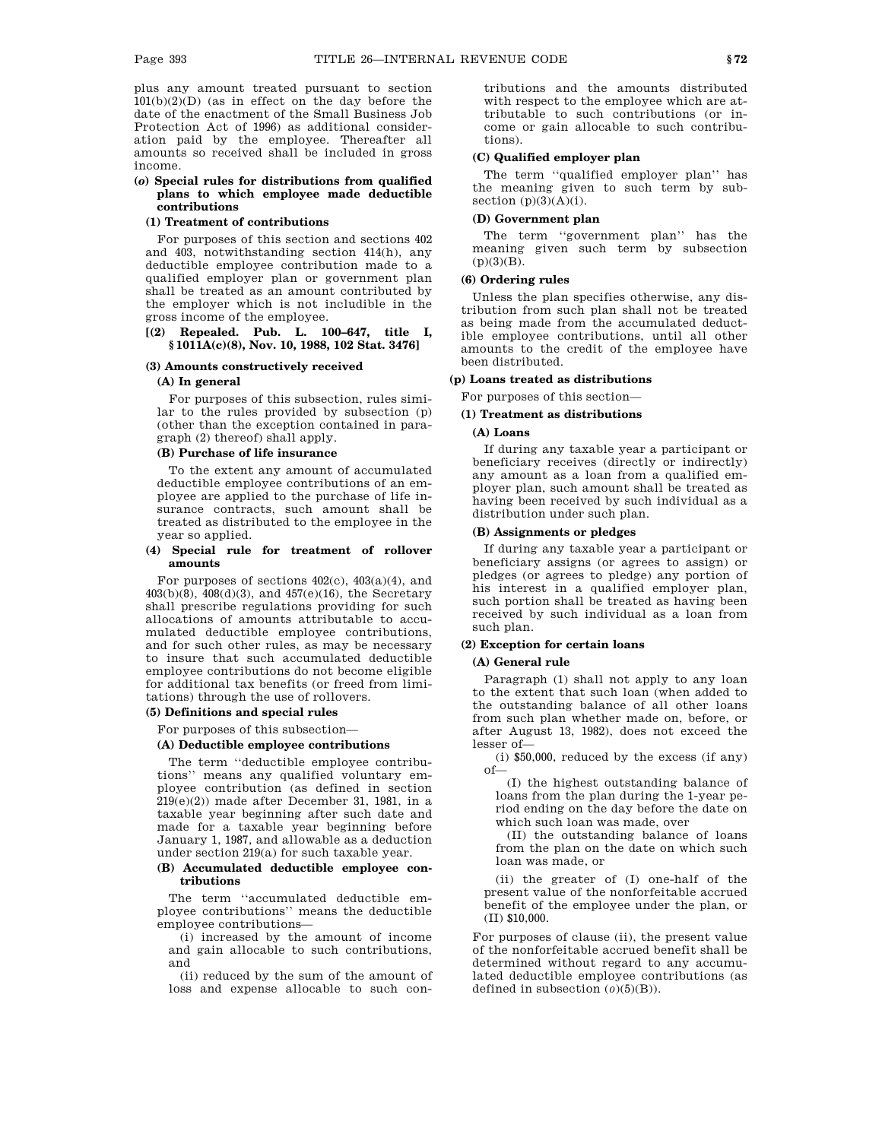plus any amount treated pursuant to section 101(b)(2)(D) (as in effect on the day before the date of the enactment of the Small Business Job Protection Act of 1996) as additional consideration paid by the employee. Thereafter all amounts so received shall be included in gross income.

### **(***o***) Special rules for distributions from qualified plans to which employee made deductible contributions**

#### **(1) Treatment of contributions**

For purposes of this section and sections 402 and 403, notwithstanding section 414(h), any deductible employee contribution made to a qualified employer plan or government plan shall be treated as an amount contributed by the employer which is not includible in the gross income of the employee.

### **[(2) Repealed. Pub. L. 100–647, title I, § 1011A(c)(8), Nov. 10, 1988, 102 Stat. 3476]**

#### **(3) Amounts constructively received**

### **(A) In general**

For purposes of this subsection, rules similar to the rules provided by subsection (p) (other than the exception contained in paragraph (2) thereof) shall apply.

### **(B) Purchase of life insurance**

To the extent any amount of accumulated deductible employee contributions of an employee are applied to the purchase of life insurance contracts, such amount shall be treated as distributed to the employee in the year so applied.

### **(4) Special rule for treatment of rollover amounts**

For purposes of sections 402(c), 403(a)(4), and 403(b)(8), 408(d)(3), and 457(e)(16), the Secretary shall prescribe regulations providing for such allocations of amounts attributable to accumulated deductible employee contributions, and for such other rules, as may be necessary to insure that such accumulated deductible employee contributions do not become eligible for additional tax benefits (or freed from limitations) through the use of rollovers.

#### **(5) Definitions and special rules**

For purposes of this subsection—

#### **(A) Deductible employee contributions**

The term ''deductible employee contributions'' means any qualified voluntary employee contribution (as defined in section 219(e)(2)) made after December 31, 1981, in a taxable year beginning after such date and made for a taxable year beginning before January 1, 1987, and allowable as a deduction under section 219(a) for such taxable year.

### **(B) Accumulated deductible employee contributions**

The term ''accumulated deductible employee contributions'' means the deductible employee contributions—

(i) increased by the amount of income and gain allocable to such contributions, and

(ii) reduced by the sum of the amount of loss and expense allocable to such con-

tributions and the amounts distributed with respect to the employee which are attributable to such contributions (or income or gain allocable to such contributions).

#### **(C) Qualified employer plan**

The term ''qualified employer plan'' has the meaning given to such term by subsection  $(p)(3)(A)(i)$ .

### **(D) Government plan**

The term ''government plan'' has the meaning given such term by subsection  $(p)(3)(B)$ .

### **(6) Ordering rules**

Unless the plan specifies otherwise, any distribution from such plan shall not be treated as being made from the accumulated deductible employee contributions, until all other amounts to the credit of the employee have been distributed.

#### **(p) Loans treated as distributions**

For purposes of this section—

### **(1) Treatment as distributions**

### **(A) Loans**

If during any taxable year a participant or beneficiary receives (directly or indirectly) any amount as a loan from a qualified employer plan, such amount shall be treated as having been received by such individual as a distribution under such plan.

## **(B) Assignments or pledges**

If during any taxable year a participant or beneficiary assigns (or agrees to assign) or pledges (or agrees to pledge) any portion of his interest in a qualified employer plan, such portion shall be treated as having been received by such individual as a loan from such plan.

#### **(2) Exception for certain loans**

# **(A) General rule**

Paragraph (1) shall not apply to any loan to the extent that such loan (when added to the outstanding balance of all other loans from such plan whether made on, before, or after August 13, 1982), does not exceed the lesser of—

(i) \$50,000, reduced by the excess (if any) of—

(I) the highest outstanding balance of loans from the plan during the 1-year period ending on the day before the date on which such loan was made, over

(II) the outstanding balance of loans from the plan on the date on which such loan was made, or

(ii) the greater of (I) one-half of the present value of the nonforfeitable accrued benefit of the employee under the plan, or (II) \$10,000.

For purposes of clause (ii), the present value of the nonforfeitable accrued benefit shall be determined without regard to any accumulated deductible employee contributions (as defined in subsection  $(0)(5)(B)$ ).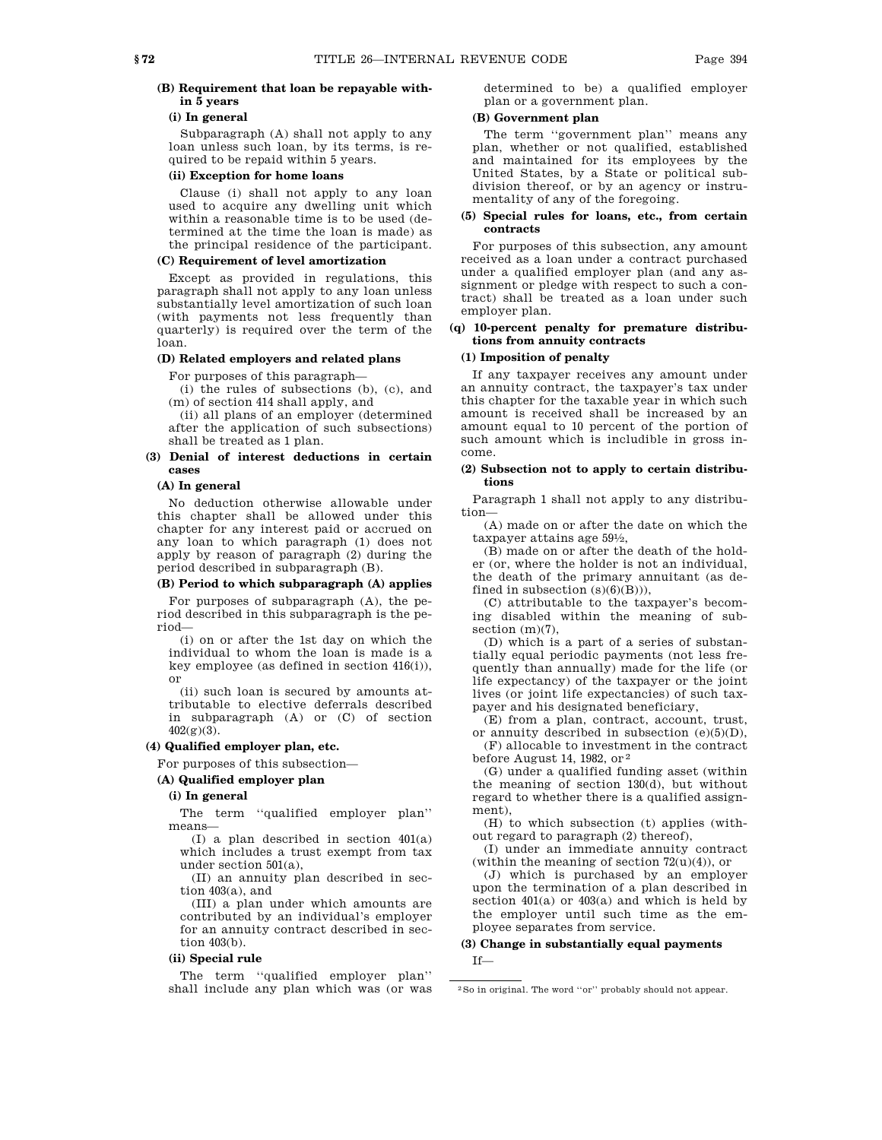# **(B) Requirement that loan be repayable within 5 years**

# **(i) In general**

Subparagraph (A) shall not apply to any loan unless such loan, by its terms, is required to be repaid within 5 years.

### **(ii) Exception for home loans**

Clause (i) shall not apply to any loan used to acquire any dwelling unit which within a reasonable time is to be used (determined at the time the loan is made) as the principal residence of the participant.

## **(C) Requirement of level amortization**

Except as provided in regulations, this paragraph shall not apply to any loan unless substantially level amortization of such loan (with payments not less frequently than quarterly) is required over the term of the loan.

### **(D) Related employers and related plans**

For purposes of this paragraph—

(i) the rules of subsections (b), (c), and (m) of section 414 shall apply, and

(ii) all plans of an employer (determined after the application of such subsections) shall be treated as 1 plan.

### **(3) Denial of interest deductions in certain cases**

### **(A) In general**

No deduction otherwise allowable under this chapter shall be allowed under this chapter for any interest paid or accrued on any loan to which paragraph (1) does not apply by reason of paragraph (2) during the period described in subparagraph (B).

### **(B) Period to which subparagraph (A) applies**

For purposes of subparagraph (A), the period described in this subparagraph is the period—

(i) on or after the 1st day on which the individual to whom the loan is made is a key employee (as defined in section 416(i)), or

(ii) such loan is secured by amounts attributable to elective deferrals described in subparagraph (A) or (C) of section  $402(g)(3)$ .

### **(4) Qualified employer plan, etc.**

For purposes of this subsection—

# **(A) Qualified employer plan**

#### **(i) In general**

The term ''qualified employer plan'' means—

(I) a plan described in section 401(a) which includes a trust exempt from tax under section 501(a),

(II) an annuity plan described in section 403(a), and

(III) a plan under which amounts are contributed by an individual's employer for an annuity contract described in section 403(b).

### **(ii) Special rule**

The term ''qualified employer plan'' shall include any plan which was (or was determined to be) a qualified employer plan or a government plan.

## **(B) Government plan**

The term "government plan" means any plan, whether or not qualified, established and maintained for its employees by the United States, by a State or political subdivision thereof, or by an agency or instrumentality of any of the foregoing.

#### **(5) Special rules for loans, etc., from certain contracts**

For purposes of this subsection, any amount received as a loan under a contract purchased under a qualified employer plan (and any assignment or pledge with respect to such a contract) shall be treated as a loan under such employer plan.

### **(q) 10-percent penalty for premature distributions from annuity contracts**

# **(1) Imposition of penalty**

If any taxpayer receives any amount under an annuity contract, the taxpayer's tax under this chapter for the taxable year in which such amount is received shall be increased by an amount equal to 10 percent of the portion of such amount which is includible in gross income.

#### **(2) Subsection not to apply to certain distributions**

Paragraph 1 shall not apply to any distribution—

(A) made on or after the date on which the taxpayer attains age 591 ⁄2,

(B) made on or after the death of the holder (or, where the holder is not an individual, the death of the primary annuitant (as defined in subsection  $(s)(6)(B))$ ,

(C) attributable to the taxpayer's becoming disabled within the meaning of subsection (m)(7),

(D) which is a part of a series of substantially equal periodic payments (not less frequently than annually) made for the life (or life expectancy) of the taxpayer or the joint lives (or joint life expectancies) of such taxpayer and his designated beneficiary,

(E) from a plan, contract, account, trust, or annuity described in subsection  $(e)(5)(D)$ ,

(F) allocable to investment in the contract before August 14, 1982, or 2

(G) under a qualified funding asset (within the meaning of section 130(d), but without regard to whether there is a qualified assignment),

(H) to which subsection (t) applies (without regard to paragraph (2) thereof),

(I) under an immediate annuity contract (within the meaning of section  $72(u)(4)$ ), or

(J) which is purchased by an employer upon the termination of a plan described in section 401(a) or 403(a) and which is held by the employer until such time as the employee separates from service.

# **(3) Change in substantially equal payments**

If—

<sup>2</sup>So in original. The word ''or'' probably should not appear.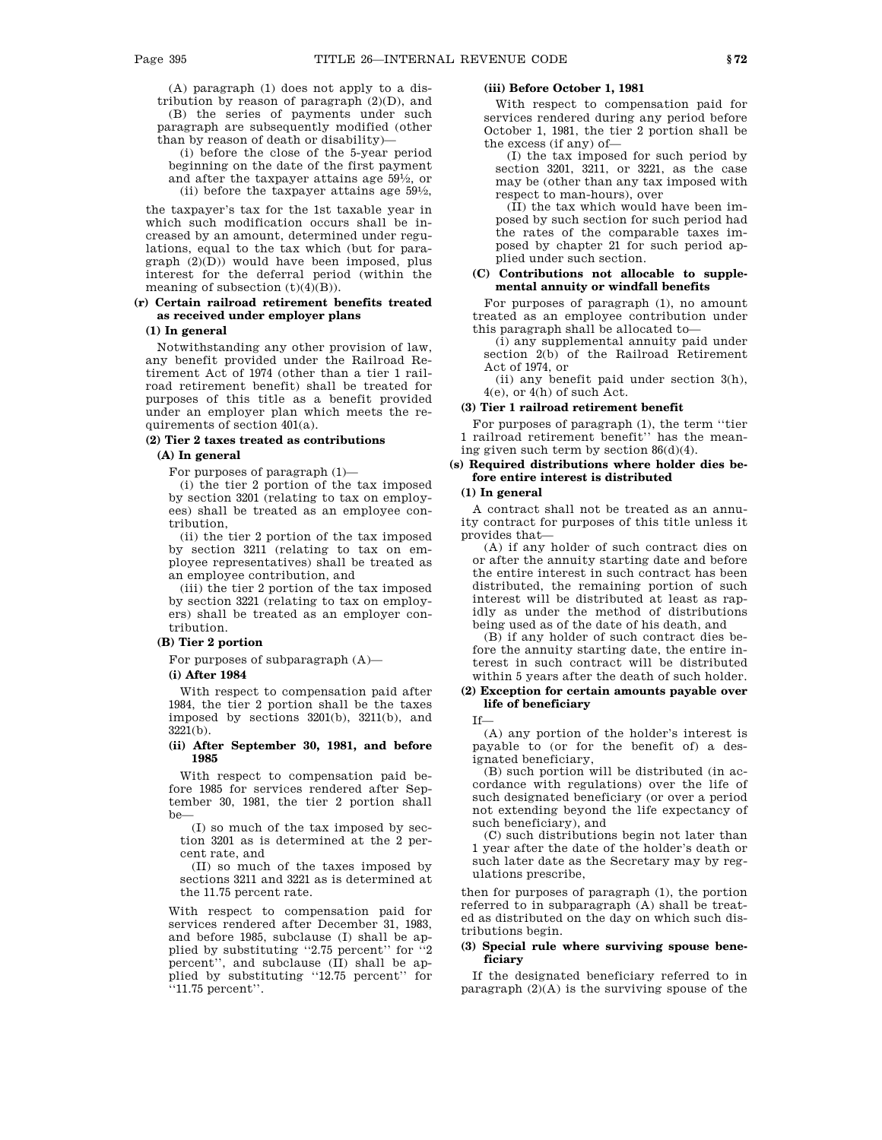(A) paragraph (1) does not apply to a distribution by reason of paragraph (2)(D), and (B) the series of payments under such paragraph are subsequently modified (other than by reason of death or disability)—

(i) before the close of the 5-year period beginning on the date of the first payment and after the taxpayer attains age 591 ⁄2, or (ii) before the taxpayer attains age 591 ⁄2,

the taxpayer's tax for the 1st taxable year in which such modification occurs shall be increased by an amount, determined under regulations, equal to the tax which (but for paragraph (2)(D)) would have been imposed, plus interest for the deferral period (within the meaning of subsection  $(t)(4)(B)$ ).

### **(r) Certain railroad retirement benefits treated as received under employer plans**

### **(1) In general**

Notwithstanding any other provision of law, any benefit provided under the Railroad Retirement Act of 1974 (other than a tier 1 railroad retirement benefit) shall be treated for purposes of this title as a benefit provided under an employer plan which meets the requirements of section 401(a).

### **(2) Tier 2 taxes treated as contributions**

#### **(A) In general**

For purposes of paragraph (1)—

(i) the tier 2 portion of the tax imposed by section 3201 (relating to tax on employees) shall be treated as an employee contribution,

(ii) the tier 2 portion of the tax imposed by section 3211 (relating to tax on employee representatives) shall be treated as an employee contribution, and

(iii) the tier 2 portion of the tax imposed by section 3221 (relating to tax on employers) shall be treated as an employer contribution.

### **(B) Tier 2 portion**

For purposes of subparagraph (A)—

#### **(i) After 1984**

With respect to compensation paid after 1984, the tier 2 portion shall be the taxes imposed by sections 3201(b), 3211(b), and 3221(b).

### **(ii) After September 30, 1981, and before 1985**

With respect to compensation paid before 1985 for services rendered after September 30, 1981, the tier 2 portion shall be—

(I) so much of the tax imposed by section 3201 as is determined at the 2 percent rate, and

(II) so much of the taxes imposed by sections 3211 and 3221 as is determined at the 11.75 percent rate.

With respect to compensation paid for services rendered after December 31, 1983, and before 1985, subclause (I) shall be applied by substituting ''2.75 percent'' for ''2 percent'', and subclause (II) shall be applied by substituting ''12.75 percent'' for ''11.75 percent''.

### **(iii) Before October 1, 1981**

With respect to compensation paid for services rendered during any period before October 1, 1981, the tier 2 portion shall be the excess (if any) of—

(I) the tax imposed for such period by section 3201, 3211, or 3221, as the case may be (other than any tax imposed with respect to man-hours), over

(II) the tax which would have been imposed by such section for such period had the rates of the comparable taxes imposed by chapter 21 for such period applied under such section.

### **(C) Contributions not allocable to supplemental annuity or windfall benefits**

For purposes of paragraph (1), no amount treated as an employee contribution under this paragraph shall be allocated to—

(i) any supplemental annuity paid under section 2(b) of the Railroad Retirement Act of 1974, or

(ii) any benefit paid under section 3(h), 4(e), or 4(h) of such Act.

### **(3) Tier 1 railroad retirement benefit**

For purposes of paragraph (1), the term ''tier 1 railroad retirement benefit'' has the meaning given such term by section 86(d)(4).

### **(s) Required distributions where holder dies before entire interest is distributed**

#### **(1) In general**

A contract shall not be treated as an annuity contract for purposes of this title unless it provides that—

(A) if any holder of such contract dies on or after the annuity starting date and before the entire interest in such contract has been distributed, the remaining portion of such interest will be distributed at least as rapidly as under the method of distributions being used as of the date of his death, and

(B) if any holder of such contract dies before the annuity starting date, the entire interest in such contract will be distributed within 5 years after the death of such holder.

### **(2) Exception for certain amounts payable over life of beneficiary**

If—

(A) any portion of the holder's interest is payable to (or for the benefit of) a designated beneficiary,

(B) such portion will be distributed (in accordance with regulations) over the life of such designated beneficiary (or over a period not extending beyond the life expectancy of such beneficiary), and

(C) such distributions begin not later than 1 year after the date of the holder's death or such later date as the Secretary may by regulations prescribe,

then for purposes of paragraph (1), the portion referred to in subparagraph (A) shall be treated as distributed on the day on which such distributions begin.

#### **(3) Special rule where surviving spouse beneficiary**

If the designated beneficiary referred to in paragraph  $(2)(A)$  is the surviving spouse of the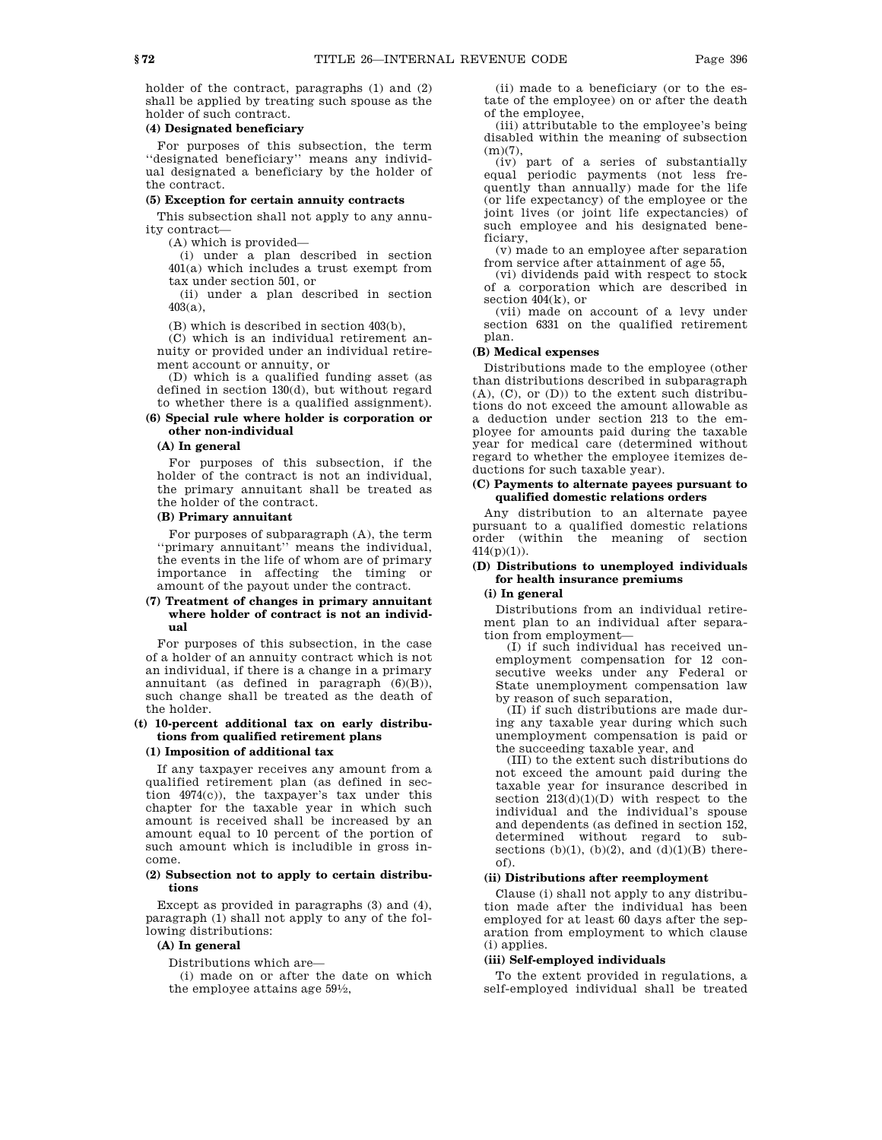holder of the contract, paragraphs (1) and (2) shall be applied by treating such spouse as the holder of such contract.

# **(4) Designated beneficiary**

For purposes of this subsection, the term ''designated beneficiary'' means any individual designated a beneficiary by the holder of the contract.

#### **(5) Exception for certain annuity contracts**

This subsection shall not apply to any annuity contract—

(A) which is provided—

(i) under a plan described in section 401(a) which includes a trust exempt from tax under section 501, or

(ii) under a plan described in section 403(a),

(B) which is described in section 403(b),

(C) which is an individual retirement annuity or provided under an individual retirement account or annuity, or

(D) which is a qualified funding asset (as defined in section 130(d), but without regard to whether there is a qualified assignment).

## **(6) Special rule where holder is corporation or other non-individual**

#### **(A) In general**

For purposes of this subsection, if the holder of the contract is not an individual, the primary annuitant shall be treated as the holder of the contract.

## **(B) Primary annuitant**

For purposes of subparagraph (A), the term ''primary annuitant'' means the individual, the events in the life of whom are of primary importance in affecting the timing or amount of the payout under the contract.

### **(7) Treatment of changes in primary annuitant where holder of contract is not an individual**

For purposes of this subsection, in the case of a holder of an annuity contract which is not an individual, if there is a change in a primary annuitant (as defined in paragraph (6)(B)), such change shall be treated as the death of the holder.

## **(t) 10-percent additional tax on early distributions from qualified retirement plans**

# **(1) Imposition of additional tax**

If any taxpayer receives any amount from a qualified retirement plan (as defined in section 4974(c)), the taxpayer's tax under this chapter for the taxable year in which such amount is received shall be increased by an amount equal to 10 percent of the portion of such amount which is includible in gross income.

### **(2) Subsection not to apply to certain distributions**

Except as provided in paragraphs (3) and (4), paragraph (1) shall not apply to any of the following distributions:

#### **(A) In general**

Distributions which are—

(i) made on or after the date on which the employee attains age 591 ⁄2,

(ii) made to a beneficiary (or to the estate of the employee) on or after the death of the employee,

(iii) attributable to the employee's being disabled within the meaning of subsection (m)(7),

(iv) part of a series of substantially equal periodic payments (not less frequently than annually) made for the life (or life expectancy) of the employee or the joint lives (or joint life expectancies) of such employee and his designated beneficiary,

(v) made to an employee after separation from service after attainment of age 55,

(vi) dividends paid with respect to stock of a corporation which are described in section 404(k), or

(vii) made on account of a levy under section 6331 on the qualified retirement plan.

# **(B) Medical expenses**

Distributions made to the employee (other than distributions described in subparagraph (A), (C), or (D)) to the extent such distributions do not exceed the amount allowable as a deduction under section 213 to the employee for amounts paid during the taxable year for medical care (determined without regard to whether the employee itemizes deductions for such taxable year).

#### **(C) Payments to alternate payees pursuant to qualified domestic relations orders**

Any distribution to an alternate payee pursuant to a qualified domestic relations order (within the meaning of section  $414(p)(1)$ .

### **(D) Distributions to unemployed individuals for health insurance premiums**

# **(i) In general**

Distributions from an individual retirement plan to an individual after separation from employment—

(I) if such individual has received unemployment compensation for 12 consecutive weeks under any Federal or State unemployment compensation law by reason of such separation,

(II) if such distributions are made during any taxable year during which such unemployment compensation is paid or the succeeding taxable year, and

(III) to the extent such distributions do not exceed the amount paid during the taxable year for insurance described in section 213(d)(1)(D) with respect to the individual and the individual's spouse and dependents (as defined in section 152, determined without regard to subsections  $(b)(1)$ ,  $(b)(2)$ , and  $(d)(1)(B)$  thereof).

### **(ii) Distributions after reemployment**

Clause (i) shall not apply to any distribution made after the individual has been employed for at least 60 days after the separation from employment to which clause (i) applies.

### **(iii) Self-employed individuals**

To the extent provided in regulations, a self-employed individual shall be treated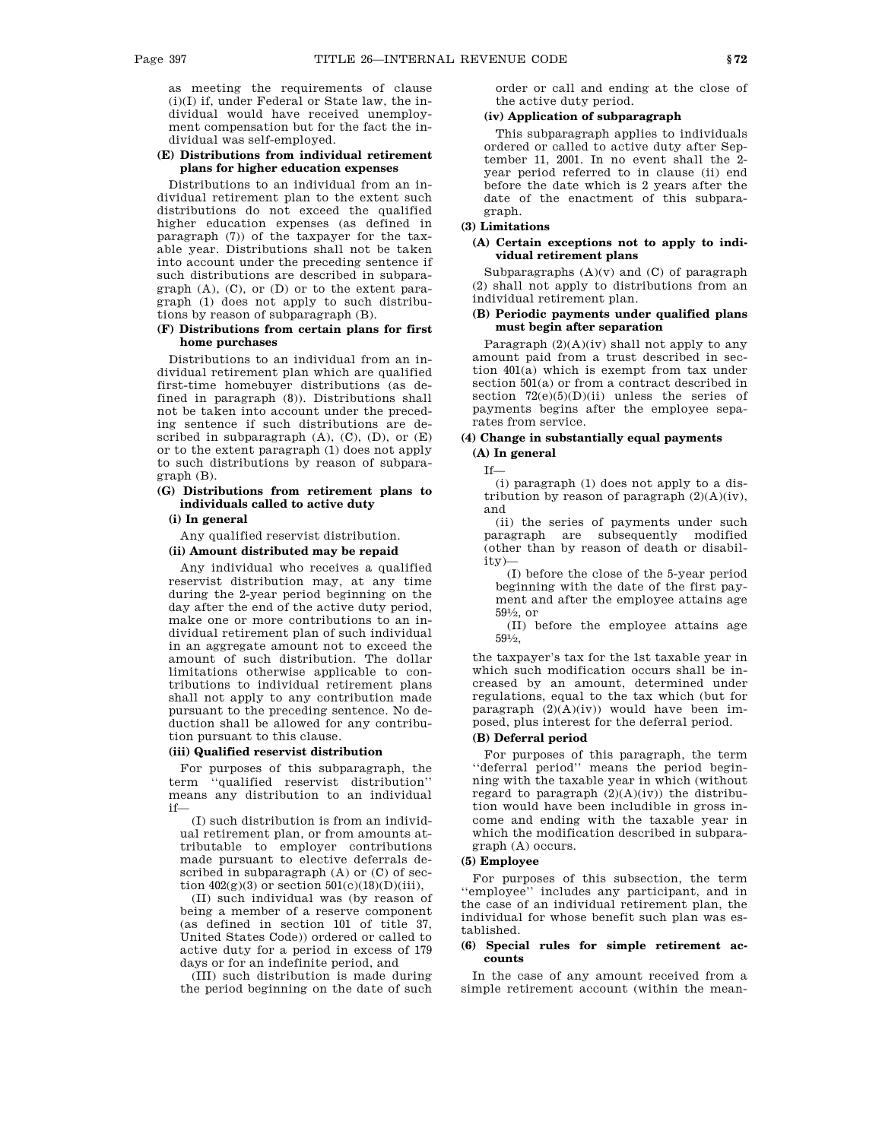as meeting the requirements of clause  $(i)(I)$  if, under Federal or State law, the individual would have received unemployment compensation but for the fact the individual was self-employed.

### **(E) Distributions from individual retirement plans for higher education expenses**

Distributions to an individual from an individual retirement plan to the extent such distributions do not exceed the qualified higher education expenses (as defined in paragraph (7)) of the taxpayer for the taxable year. Distributions shall not be taken into account under the preceding sentence if such distributions are described in subparagraph (A), (C), or (D) or to the extent paragraph (1) does not apply to such distributions by reason of subparagraph (B).

### **(F) Distributions from certain plans for first home purchases**

Distributions to an individual from an individual retirement plan which are qualified first-time homebuyer distributions (as defined in paragraph (8)). Distributions shall not be taken into account under the preceding sentence if such distributions are described in subparagraph  $(A)$ ,  $(C)$ ,  $(D)$ , or  $(E)$ or to the extent paragraph (1) does not apply to such distributions by reason of subparagraph (B).

# **(G) Distributions from retirement plans to individuals called to active duty**

**(i) In general**

Any qualified reservist distribution.

### **(ii) Amount distributed may be repaid**

Any individual who receives a qualified reservist distribution may, at any time during the 2-year period beginning on the day after the end of the active duty period, make one or more contributions to an individual retirement plan of such individual in an aggregate amount not to exceed the amount of such distribution. The dollar limitations otherwise applicable to contributions to individual retirement plans shall not apply to any contribution made pursuant to the preceding sentence. No deduction shall be allowed for any contribution pursuant to this clause.

### **(iii) Qualified reservist distribution**

For purposes of this subparagraph, the term ''qualified reservist distribution'' means any distribution to an individual if—

(I) such distribution is from an individual retirement plan, or from amounts attributable to employer contributions made pursuant to elective deferrals described in subparagraph (A) or (C) of section  $402(g)(3)$  or section  $501(c)(18)(D)(iii)$ ,

(II) such individual was (by reason of being a member of a reserve component (as defined in section 101 of title 37, United States Code)) ordered or called to active duty for a period in excess of 179 days or for an indefinite period, and

(III) such distribution is made during the period beginning on the date of such order or call and ending at the close of the active duty period.

### **(iv) Application of subparagraph**

This subparagraph applies to individuals ordered or called to active duty after September 11, 2001. In no event shall the 2 year period referred to in clause (ii) end before the date which is 2 years after the date of the enactment of this subparagraph.

### **(3) Limitations**

#### **(A) Certain exceptions not to apply to individual retirement plans**

Subparagraphs  $(A)(v)$  and  $(C)$  of paragraph (2) shall not apply to distributions from an individual retirement plan.

### **(B) Periodic payments under qualified plans must begin after separation**

Paragraph  $(2)(A)(iv)$  shall not apply to any amount paid from a trust described in section 401(a) which is exempt from tax under section 501(a) or from a contract described in section  $72(e)(5)(D)(ii)$  unless the series of payments begins after the employee separates from service.

# **(4) Change in substantially equal payments (A) In general**

# If—

(i) paragraph (1) does not apply to a distribution by reason of paragraph  $(2)(A)(iv)$ , and

(ii) the series of payments under such paragraph are subsequently modified (other than by reason of death or disability)—

(I) before the close of the 5-year period beginning with the date of the first payment and after the employee attains age 591 ⁄2, or

(II) before the employee attains age 591 ⁄2,

the taxpayer's tax for the 1st taxable year in which such modification occurs shall be increased by an amount, determined under regulations, equal to the tax which (but for paragraph (2)(A)(iv)) would have been imposed, plus interest for the deferral period.

# **(B) Deferral period**

For purposes of this paragraph, the term ''deferral period'' means the period beginning with the taxable year in which (without regard to paragraph  $(2)(A)(iv)$  the distribution would have been includible in gross income and ending with the taxable year in which the modification described in subparagraph (A) occurs.

### **(5) Employee**

For purposes of this subsection, the term ''employee'' includes any participant, and in the case of an individual retirement plan, the individual for whose benefit such plan was established.

#### **(6) Special rules for simple retirement accounts**

In the case of any amount received from a simple retirement account (within the mean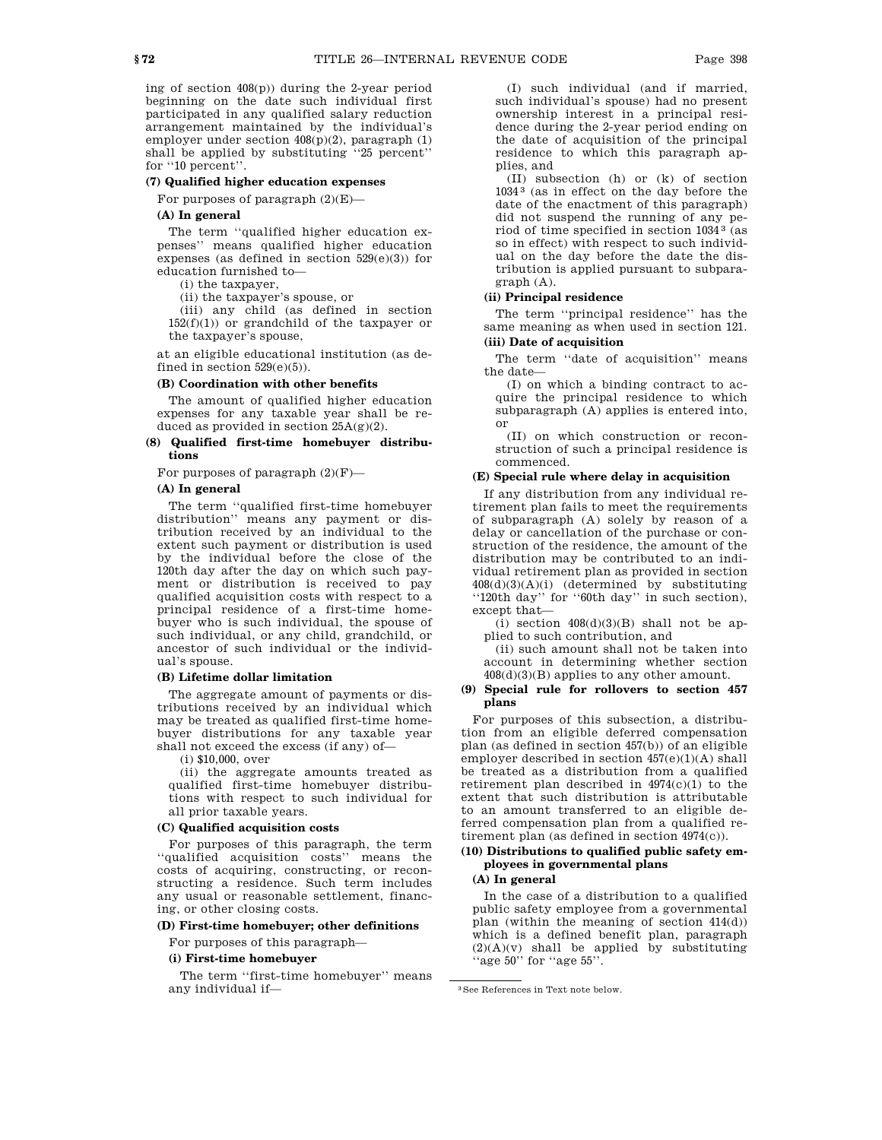ing of section 408(p)) during the 2-year period beginning on the date such individual first participated in any qualified salary reduction arrangement maintained by the individual's employer under section 408(p)(2), paragraph (1) shall be applied by substituting ''25 percent'' for ''10 percent''.

## **(7) Qualified higher education expenses**

For purposes of paragraph (2)(E)—

### **(A) In general**

The term ''qualified higher education expenses'' means qualified higher education expenses (as defined in section  $529(e)(3)$ ) for education furnished to—

(i) the taxpayer,

(ii) the taxpayer's spouse, or

(iii) any child (as defined in section  $152(f)(1)$  or grandchild of the taxpayer or the taxpayer's spouse,

at an eligible educational institution (as defined in section  $529(e)(5)$ ).

#### **(B) Coordination with other benefits**

The amount of qualified higher education expenses for any taxable year shall be reduced as provided in section 25A(g)(2).

### **(8) Qualified first-time homebuyer distributions**

For purposes of paragraph  $(2)(\mathrm{F})\text{---}$ 

# **(A) In general**

The term ''qualified first-time homebuyer distribution'' means any payment or distribution received by an individual to the extent such payment or distribution is used by the individual before the close of the 120th day after the day on which such payment or distribution is received to pay qualified acquisition costs with respect to a principal residence of a first-time homebuyer who is such individual, the spouse of such individual, or any child, grandchild, or ancestor of such individual or the individual's spouse.

### **(B) Lifetime dollar limitation**

The aggregate amount of payments or distributions received by an individual which may be treated as qualified first-time homebuyer distributions for any taxable year shall not exceed the excess (if any) of—

(i) \$10,000, over

(ii) the aggregate amounts treated as qualified first-time homebuyer distributions with respect to such individual for all prior taxable years.

#### **(C) Qualified acquisition costs**

For purposes of this paragraph, the term ''qualified acquisition costs'' means the costs of acquiring, constructing, or reconstructing a residence. Such term includes any usual or reasonable settlement, financing, or other closing costs.

### **(D) First-time homebuyer; other definitions**

For purposes of this paragraph—

### **(i) First-time homebuyer**

The term ''first-time homebuyer'' means any individual if—

(I) such individual (and if married, such individual's spouse) had no present ownership interest in a principal residence during the 2-year period ending on the date of acquisition of the principal residence to which this paragraph applies, and

(II) subsection (h) or (k) of section 1034 3 (as in effect on the day before the date of the enactment of this paragraph) did not suspend the running of any period of time specified in section 1034 3 (as so in effect) with respect to such individual on the day before the date the distribution is applied pursuant to subparagraph (A).

# **(ii) Principal residence**

The term ''principal residence'' has the same meaning as when used in section 121.

# **(iii) Date of acquisition**

The term "date of acquisition" means the date—

(I) on which a binding contract to acquire the principal residence to which subparagraph (A) applies is entered into, or

(II) on which construction or reconstruction of such a principal residence is commenced.

### **(E) Special rule where delay in acquisition**

If any distribution from any individual retirement plan fails to meet the requirements of subparagraph (A) solely by reason of a delay or cancellation of the purchase or construction of the residence, the amount of the distribution may be contributed to an individual retirement plan as provided in section 408(d)(3)(A)(i) (determined by substituting ''120th day'' for ''60th day'' in such section), except that—

(i) section  $408(d)(3)(B)$  shall not be applied to such contribution, and

(ii) such amount shall not be taken into account in determining whether section  $408(d)(3)(B)$  applies to any other amount.

#### **(9) Special rule for rollovers to section 457 plans**

For purposes of this subsection, a distribution from an eligible deferred compensation plan (as defined in section 457(b)) of an eligible employer described in section 457(e)(1)(A) shall be treated as a distribution from a qualified retirement plan described in  $4974(c)(1)$  to the extent that such distribution is attributable to an amount transferred to an eligible deferred compensation plan from a qualified retirement plan (as defined in section 4974(c)).

# **(10) Distributions to qualified public safety employees in governmental plans**

# **(A) In general**

In the case of a distribution to a qualified public safety employee from a governmental plan (within the meaning of section 414(d)) which is a defined benefit plan, paragraph  $(2)(A)(v)$  shall be applied by substituting "age 50" for "age 55".

<sup>3</sup>See References in Text note below.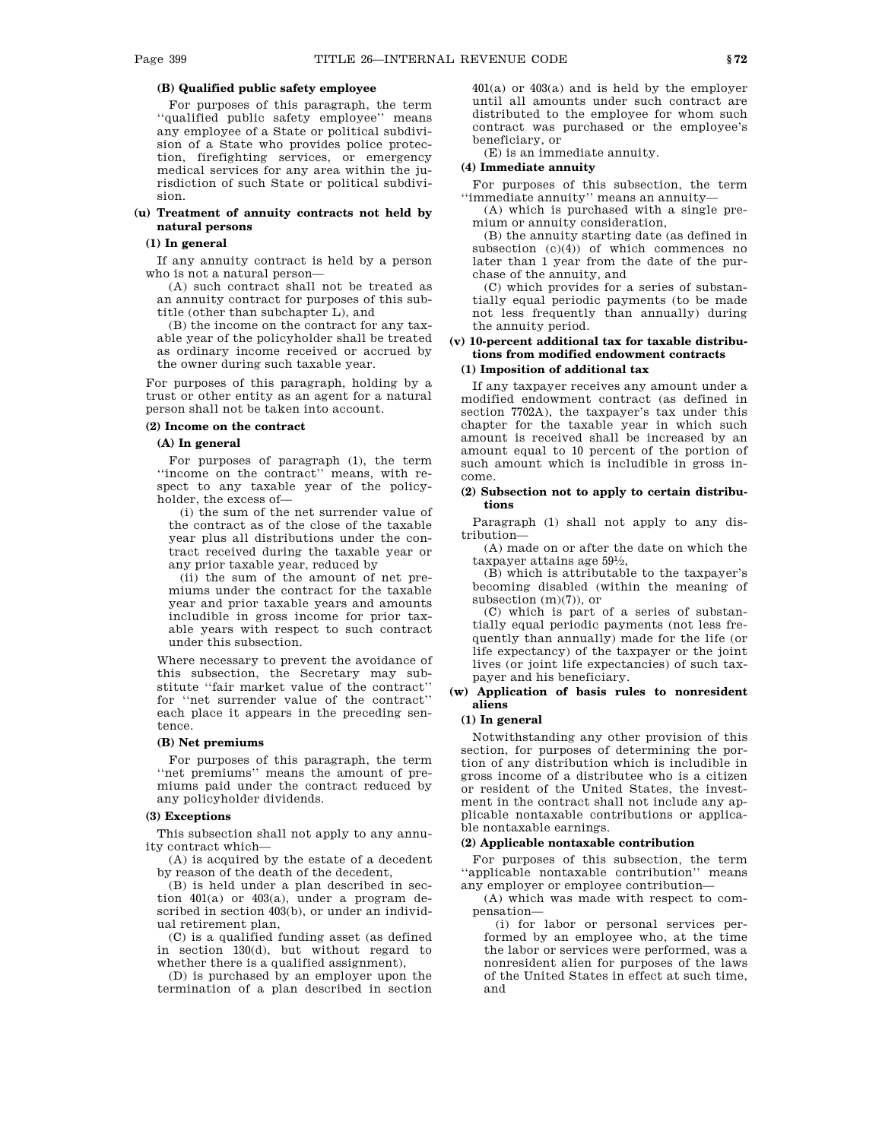# **(B) Qualified public safety employee**

For purposes of this paragraph, the term ''qualified public safety employee'' means any employee of a State or political subdivision of a State who provides police protection, firefighting services, or emergency medical services for any area within the jurisdiction of such State or political subdivision.

### **(u) Treatment of annuity contracts not held by natural persons**

## **(1) In general**

If any annuity contract is held by a person who is not a natural person—

(A) such contract shall not be treated as an annuity contract for purposes of this subtitle (other than subchapter L), and

(B) the income on the contract for any taxable year of the policyholder shall be treated as ordinary income received or accrued by the owner during such taxable year.

For purposes of this paragraph, holding by a trust or other entity as an agent for a natural person shall not be taken into account.

# **(2) Income on the contract**

## **(A) In general**

For purposes of paragraph (1), the term ''income on the contract'' means, with respect to any taxable year of the policyholder, the excess of—

(i) the sum of the net surrender value of the contract as of the close of the taxable year plus all distributions under the contract received during the taxable year or any prior taxable year, reduced by

(ii) the sum of the amount of net premiums under the contract for the taxable year and prior taxable years and amounts includible in gross income for prior taxable years with respect to such contract under this subsection.

Where necessary to prevent the avoidance of this subsection, the Secretary may substitute ''fair market value of the contract'' for ''net surrender value of the contract'' each place it appears in the preceding sentence.

#### **(B) Net premiums**

For purposes of this paragraph, the term ''net premiums'' means the amount of premiums paid under the contract reduced by any policyholder dividends.

#### **(3) Exceptions**

This subsection shall not apply to any annuity contract which—

(A) is acquired by the estate of a decedent by reason of the death of the decedent,

(B) is held under a plan described in section 401(a) or 403(a), under a program described in section 403(b), or under an individual retirement plan,

(C) is a qualified funding asset (as defined in section 130(d), but without regard to whether there is a qualified assignment),

(D) is purchased by an employer upon the termination of a plan described in section 401(a) or 403(a) and is held by the employer until all amounts under such contract are distributed to the employee for whom such contract was purchased or the employee's beneficiary, or

(E) is an immediate annuity.

### **(4) Immediate annuity**

For purposes of this subsection, the term ''immediate annuity'' means an annuity—

(A) which is purchased with a single premium or annuity consideration,

(B) the annuity starting date (as defined in subsection  $(c)(4)$  of which commences no later than 1 year from the date of the purchase of the annuity, and

(C) which provides for a series of substantially equal periodic payments (to be made not less frequently than annually) during the annuity period.

# **(v) 10-percent additional tax for taxable distributions from modified endowment contracts**

# **(1) Imposition of additional tax**

If any taxpayer receives any amount under a modified endowment contract (as defined in section 7702A), the taxpayer's tax under this chapter for the taxable year in which such amount is received shall be increased by an amount equal to 10 percent of the portion of such amount which is includible in gross income.

#### **(2) Subsection not to apply to certain distributions**

Paragraph (1) shall not apply to any distribution—

(A) made on or after the date on which the taxpayer attains age 591 ⁄2,

(B) which is attributable to the taxpayer's becoming disabled (within the meaning of subsection (m)(7)), or

(C) which is part of a series of substantially equal periodic payments (not less frequently than annually) made for the life (or life expectancy) of the taxpayer or the joint lives (or joint life expectancies) of such taxpayer and his beneficiary.

### **(w) Application of basis rules to nonresident aliens**

#### **(1) In general**

Notwithstanding any other provision of this section, for purposes of determining the portion of any distribution which is includible in gross income of a distributee who is a citizen or resident of the United States, the investment in the contract shall not include any applicable nontaxable contributions or applicable nontaxable earnings.

#### **(2) Applicable nontaxable contribution**

For purposes of this subsection, the term ''applicable nontaxable contribution'' means any employer or employee contribution—

(A) which was made with respect to compensation—

(i) for labor or personal services performed by an employee who, at the time the labor or services were performed, was a nonresident alien for purposes of the laws of the United States in effect at such time, and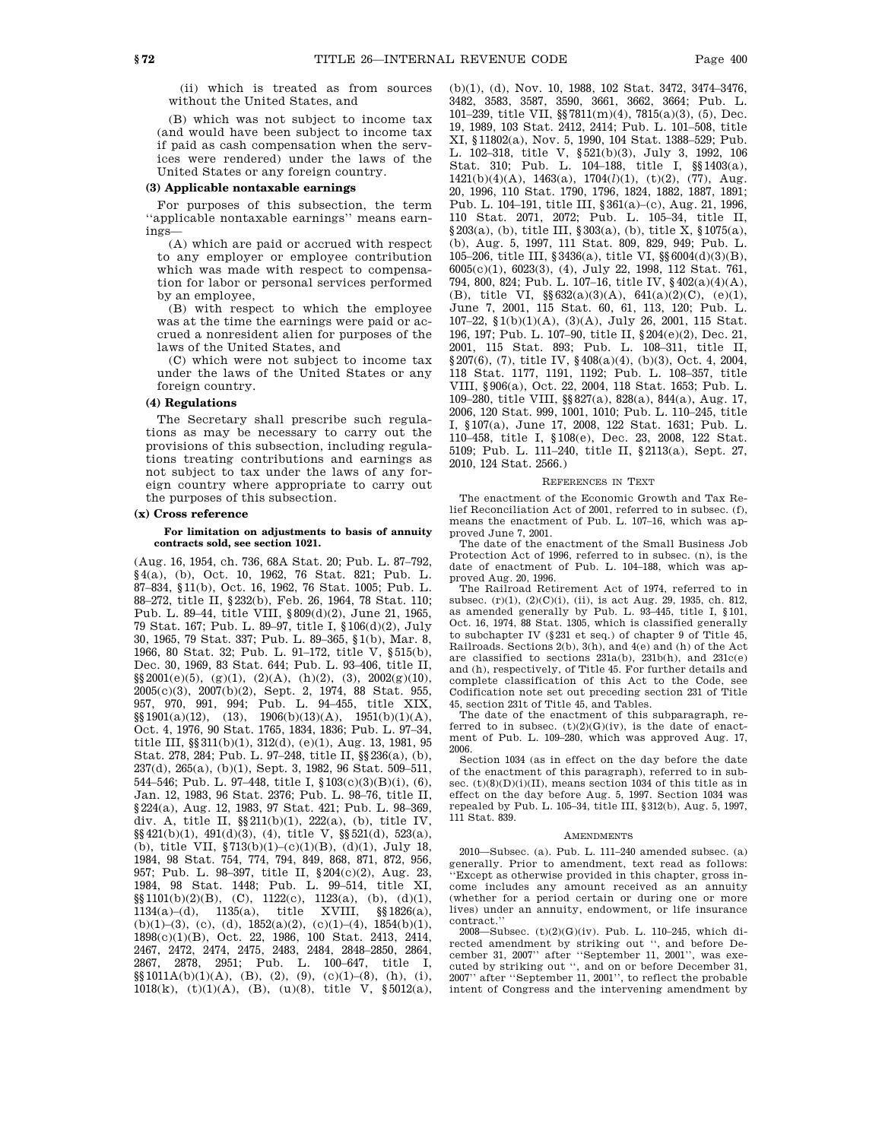(ii) which is treated as from sources without the United States, and

(B) which was not subject to income tax (and would have been subject to income tax if paid as cash compensation when the services were rendered) under the laws of the United States or any foreign country.

#### **(3) Applicable nontaxable earnings**

For purposes of this subsection, the term ''applicable nontaxable earnings'' means earnings—

(A) which are paid or accrued with respect to any employer or employee contribution which was made with respect to compensation for labor or personal services performed by an employee,

(B) with respect to which the employee was at the time the earnings were paid or accrued a nonresident alien for purposes of the laws of the United States, and

(C) which were not subject to income tax under the laws of the United States or any foreign country.

## **(4) Regulations**

The Secretary shall prescribe such regulations as may be necessary to carry out the provisions of this subsection, including regulations treating contributions and earnings as not subject to tax under the laws of any foreign country where appropriate to carry out the purposes of this subsection.

### **(x) Cross reference**

#### **For limitation on adjustments to basis of annuity contracts sold, see section 1021.**

(Aug. 16, 1954, ch. 736, 68A Stat. 20; Pub. L. 87–792, §4(a), (b), Oct. 10, 1962, 76 Stat. 821; Pub. L. 87–834, §11(b), Oct. 16, 1962, 76 Stat. 1005; Pub. L. 88–272, title II, §232(b), Feb. 26, 1964, 78 Stat. 110; Pub. L. 89–44, title VIII, §809(d)(2), June 21, 1965, 79 Stat. 167; Pub. L. 89–97, title I, §106(d)(2), July 30, 1965, 79 Stat. 337; Pub. L. 89–365, §1(b), Mar. 8, 1966, 80 Stat. 32; Pub. L. 91–172, title V, §515(b), Dec. 30, 1969, 83 Stat. 644; Pub. L. 93–406, title II,  $\S\S 2001(e)(5)$ , (g)(1), (2)(A), (h)(2), (3), 2002(g)(10), 2005(c)(3), 2007(b)(2), Sept. 2, 1974, 88 Stat. 955, 957, 970, 991, 994; Pub. L. 94–455, title XIX,  $\S$ [901(a)(12), (13), 1906(b)(13)(A), 1951(b)(1)(A), Oct. 4, 1976, 90 Stat. 1765, 1834, 1836; Pub. L. 97–34, title III, §§311(b)(1), 312(d), (e)(1), Aug. 13, 1981, 95 Stat. 278, 284; Pub. L. 97–248, title II, §§236(a), (b), 237(d), 265(a), (b)(1), Sept. 3, 1982, 96 Stat. 509–511, 544–546; Pub. L. 97–448, title I, §103(c)(3)(B)(i), (6), Jan. 12, 1983, 96 Stat. 2376; Pub. L. 98–76, title II, §224(a), Aug. 12, 1983, 97 Stat. 421; Pub. L. 98–369, div. A, title II, §§211(b)(1), 222(a), (b), title IV, §§421(b)(1), 491(d)(3), (4), title V, §§521(d), 523(a), (b), title VII, §713(b)(1)–(c)(1)(B), (d)(1), July 18, 1984, 98 Stat. 754, 774, 794, 849, 868, 871, 872, 956, 957; Pub. L. 98–397, title II, §204(c)(2), Aug. 23, 1984, 98 Stat. 1448; Pub. L. 99–514, title XI,  $\S\$ 1101(b)(2)(B), (C), 1122(c), 1123(a), (b), (d)(1), 1134(a)–(d), 1135(a), title XVIII, §§1826(a), (b)(1)–(3), (c), (d),  $1852(a)(2)$ , (c)(1)–(4),  $1854(b)(1)$ , 1898(c)(1)(B), Oct. 22, 1986, 100 Stat. 2413, 2414, 2467, 2472, 2474, 2475, 2483, 2484, 2848–2850, 2864, 2867, 2878, 2951; Pub. L. 100–647, title I,  $\S$ §1011A(b)(1)(A), (B), (2), (9), (c)(1)–(8), (h), (i), 1018(k), (t)(1)(A), (B), (u)(8), title V,  $\S 5012(a)$ , (b)(1), (d), Nov. 10, 1988, 102 Stat. 3472, 3474–3476, 3482, 3583, 3587, 3590, 3661, 3662, 3664; Pub. L. 101–239, title VII, §§7811(m)(4), 7815(a)(3), (5), Dec. 19, 1989, 103 Stat. 2412, 2414; Pub. L. 101–508, title XI, §11802(a), Nov. 5, 1990, 104 Stat. 1388–529; Pub. L. 102–318, title V, §521(b)(3), July 3, 1992, 106 Stat. 310; Pub. L. 104–188, title I, §§1403(a), 1421(b)(4)(A), 1463(a), 1704(*l*)(1), (t)(2), (77), Aug. 20, 1996, 110 Stat. 1790, 1796, 1824, 1882, 1887, 1891; Pub. L. 104–191, title III, §361(a)–(c), Aug. 21, 1996, 110 Stat. 2071, 2072; Pub. L. 105–34, title II, §203(a), (b), title III, §303(a), (b), title X, §1075(a), (b), Aug. 5, 1997, 111 Stat. 809, 829, 949; Pub. L. 105–206, title III, §3436(a), title VI, §§6004(d)(3)(B), 6005(c)(1), 6023(3), (4), July 22, 1998, 112 Stat. 761, 794, 800, 824; Pub. L. 107–16, title IV, §402(a)(4)(A), (B), title VI, §§632(a)(3)(A), 641(a)(2)(C), (e)(1), June 7, 2001, 115 Stat. 60, 61, 113, 120; Pub. L. 107–22, §1(b)(1)(A), (3)(A), July 26, 2001, 115 Stat. 196, 197; Pub. L. 107–90, title II, §204(e)(2), Dec. 21, 2001, 115 Stat. 893; Pub. L. 108–311, title II, §207(6), (7), title IV, §408(a)(4), (b)(3), Oct. 4, 2004, 118 Stat. 1177, 1191, 1192; Pub. L. 108–357, title VIII, §906(a), Oct. 22, 2004, 118 Stat. 1653; Pub. L. 109–280, title VIII, §§827(a), 828(a), 844(a), Aug. 17, 2006, 120 Stat. 999, 1001, 1010; Pub. L. 110–245, title I, §107(a), June 17, 2008, 122 Stat. 1631; Pub. L. 110–458, title I, §108(e), Dec. 23, 2008, 122 Stat. 5109; Pub. L. 111–240, title II, §2113(a), Sept. 27, 2010, 124 Stat. 2566.)

#### REFERENCES IN TEXT

The enactment of the Economic Growth and Tax Relief Reconciliation Act of 2001, referred to in subsec. (f), means the enactment of Pub. L. 107–16, which was approved June 7, 2001.

The date of the enactment of the Small Business Job Protection Act of 1996, referred to in subsec. (n), is the date of enactment of Pub. L. 104–188, which was approved Aug. 20, 1996.

The Railroad Retirement Act of 1974, referred to in subsec. (r)(1), (2)(C)(i), (ii), is act Aug. 29, 1935, ch. 812, as amended generally by Pub. L. 93–445, title I, §101, Oct. 16, 1974, 88 Stat. 1305, which is classified generally to subchapter IV (§231 et seq.) of chapter 9 of Title 45, Railroads. Sections 2(b), 3(h), and 4(e) and (h) of the Act are classified to sections 231a(b), 231b(h), and 231c(e) and (h), respectively, of Title 45. For further details and complete classification of this Act to the Code, see Codification note set out preceding section 231 of Title 45, section 231t of Title 45, and Tables.

The date of the enactment of this subparagraph, referred to in subsec.  $(t)(2)(G)(iv)$ , is the date of enactment of Pub. L. 109–280, which was approved Aug. 17, 2006.

Section 1034 (as in effect on the day before the date of the enactment of this paragraph), referred to in subsec.  $(t)(8)(D)(i)(II)$ , means section 1034 of this title as in effect on the day before Aug. 5, 1997. Section 1034 was repealed by Pub. L. 105–34, title III, §312(b), Aug. 5, 1997, 111 Stat. 839.

#### AMENDMENTS

2010—Subsec. (a). Pub. L. 111–240 amended subsec. (a) generally. Prior to amendment, text read as follows: 'Except as otherwise provided in this chapter, gross income includes any amount received as an annuity (whether for a period certain or during one or more lives) under an annuity, endowment, or life insurance contract.''

2008—Subsec. (t)(2)(G)(iv). Pub. L. 110–245, which directed amendment by striking out '', and before December 31, 2007'' after ''September 11, 2001'', was executed by striking out '', and on or before December 31, 2007'' after ''September 11, 2001'', to reflect the probable intent of Congress and the intervening amendment by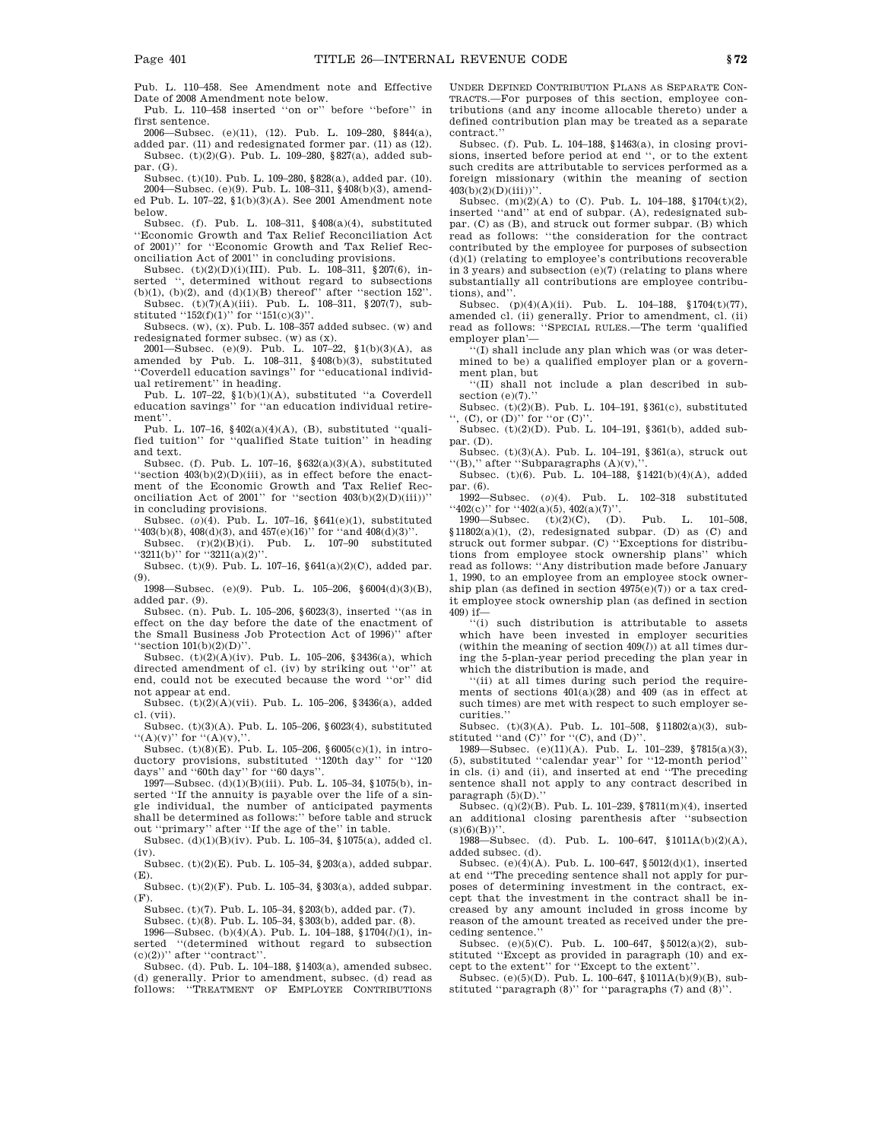Pub. L. 110–458. See Amendment note and Effective Date of 2008 Amendment note below.

Pub. L. 110–458 inserted ''on or'' before ''before'' in first sentence.

2006—Subsec. (e)(11), (12). Pub. L. 109–280, §844(a), added par. (11) and redesignated former par. (11) as (12). Subsec. (t)(2)(G). Pub. L. 109–280, §827(a), added subpar. (G).

Subsec. (t)(10). Pub. L. 109–280, §828(a), added par. (10). 2004—Subsec. (e)(9). Pub. L. 108–311, §408(b)(3), amended Pub. L. 107–22, §1(b)(3)(A). See 2001 Amendment note below.

Subsec. (f). Pub. L. 108–311, §408(a)(4), substituted ''Economic Growth and Tax Relief Reconciliation Act of 2001)'' for ''Economic Growth and Tax Relief Reconciliation Act of 2001'' in concluding provisions.

Subsec. (t)(2)(D)(i)(III). Pub. L. 108–311, §207(6), inserted '', determined without regard to subsections (b)(1), (b)(2), and (d)(1)(B) thereof" after "section 152".

Subsec. (t)(7)(A)(iii). Pub. L. 108–311, §207(7), substituted ''152(f)(1)'' for ''151(c)(3)''.

Subsecs. (w), (x). Pub. L. 108–357 added subsec. (w) and redesignated former subsec. (w) as (x).

2001—Subsec. (e)(9). Pub. L. 107–22, §1(b)(3)(A), as amended by Pub. L.  $108-311$ ,  $\frac{6}{908(b)(3)}$ , substituted ''Coverdell education savings'' for ''educational individual retirement'' in heading.

Pub. L. 107–22, §1(b)(1)(A), substituted ''a Coverdell education savings'' for ''an education individual retirement''.

Pub. L. 107–16, §402(a)(4)(A), (B), substituted ''qualified tuition'' for ''qualified State tuition'' in heading and text.

Subsec. (f). Pub. L. 107–16, §632(a)(3)(A), substituted ''section 403(b)(2)(D)(iii), as in effect before the enactment of the Economic Growth and Tax Relief Reconciliation Act of 2001'' for "section  $403(b)(2)(D)(iii)$ " in concluding provisions.

Subsec. (*o*)(4). Pub. L. 107–16, §641(e)(1), substituted  $``403(b)(8), 408(d)(3),$  and  $457(e)(16)"$  for  $``and 408(d)(3)"$ .

Subsec.  $(r)(2)(B)(i)$ . Pub. L. 107-90 substituted ''3211(b)'' for ''3211(a)(2)''. Subsec. (t)(9). Pub. L. 107–16, §641(a)(2)(C), added par.

(9).

1998—Subsec. (e)(9). Pub. L. 105–206, §6004(d)(3)(B), added par. (9).

Subsec. (n). Pub. L. 105–206, §6023(3), inserted ''(as in effect on the day before the date of the enactment of the Small Business Job Protection Act of 1996)'' after "section  $101(b)(2)(D)$ "

Subsec.  $(t)(2)(A)(iv)$ . Pub. L. 105-206, §3436(a), which directed amendment of cl. (iv) by striking out ''or'' at end, could not be executed because the word ''or'' did not appear at end.

Subsec. (t)(2)(A)(vii). Pub. L. 105–206, §3436(a), added cl. (vii).

Subsec. (t)(3)(A). Pub. L. 105–206, §6023(4), substituted  $``(A)(v)"$  for  $``(A)(v),$ 

Subsec. (t)(8)(E). Pub. L. 105–206, §6005(c)(1), in introductory provisions, substituted ''120th day'' for ''120 days'' and ''60th day'' for ''60 days''.

1997—Subsec. (d)(1)(B)(iii). Pub. L. 105–34, §1075(b), inserted ''If the annuity is payable over the life of a single individual, the number of anticipated payments shall be determined as follows:'' before table and struck out "primary" after "If the age of the" in table.

Subsec. (d)(1)(B)(iv). Pub. L. 105–34, §1075(a), added cl. (iv).

Subsec. (t)(2)(E). Pub. L. 105–34, §203(a), added subpar. (E).

Subsec. (t)(2)(F). Pub. L. 105–34, §303(a), added subpar. (F).

Subsec. (t)(7). Pub. L. 105–34, §203(b), added par. (7).

Subsec. (t)(8). Pub. L. 105–34, §303(b), added par. (8). 1996—Subsec. (b)(4)(A). Pub. L. 104–188, §1704(*l*)(1), in-

serted ''(determined without regard to subsection  $(c)(2)$ <sup>"</sup> after "contract".

Subsec. (d). Pub. L. 104–188, §1403(a), amended subsec. (d) generally. Prior to amendment, subsec. (d) read as follows: ''TREATMENT OF EMPLOYEE CONTRIBUTIONS UNDER DEFINED CONTRIBUTION PLANS AS SEPARATE CON-TRACTS.—For purposes of this section, employee contributions (and any income allocable thereto) under a defined contribution plan may be treated as a separate contract.''

Subsec. (f). Pub. L. 104–188, §1463(a), in closing provisions, inserted before period at end '', or to the extent such credits are attributable to services performed as a foreign missionary (within the meaning of section  $403(b)(2)(D)(iii)$ "

Subsec.  $(m)(2)(A)$  to  $(C)$ . Pub. L. 104–188, §1704(t)(2), inserted ''and'' at end of subpar. (A), redesignated subpar. (C) as (B), and struck out former subpar. (B) which read as follows: ''the consideration for the contract contributed by the employee for purposes of subsection (d)(1) (relating to employee's contributions recoverable in 3 years) and subsection (e)(7) (relating to plans where substantially all contributions are employee contributions), and''.

Subsec. (p)(4)(A)(ii). Pub. L. 104–188, §1704(t)(77), amended cl. (ii) generally. Prior to amendment, cl. (ii) read as follows: ''SPECIAL RULES.—The term 'qualified employer plan'—

''(I) shall include any plan which was (or was determined to be) a qualified employer plan or a government plan, but

''(II) shall not include a plan described in subsection (e)(7).'

Subsec. (t)(2)(B). Pub. L. 104–191, §361(c), substituted  $\cdot$ , (C), or (D)" for "or (C)".

Subsec. (t)(2)(D). Pub. L. 104–191, §361(b), added subpar. (D).

Subsec. (t)(3)(A). Pub. L. 104–191, §361(a), struck out  $``(B),''$  after "Subparagraphs  $(A)(v)$ ,

Subsec. (t)(6). Pub. L. 104–188, §1421(b)(4)(A), added par. (6).

1992—Subsec. (*o*)(4). Pub. L. 102–318 substituted  $``402(c)"$  for  $``402(a)(5), 402(a)(7)'$ .

1990—Subsec. (t)(2)(C), (D). Pub. L. 101–508,  $$11802(a)(1), (2),$  redesignated subpar. (D) as (C) and struck out former subpar. (C) ''Exceptions for distributions from employee stock ownership plans'' which read as follows: ''Any distribution made before January 1, 1990, to an employee from an employee stock ownership plan (as defined in section 4975(e)(7)) or a tax credit employee stock ownership plan (as defined in section 409) if—

''(i) such distribution is attributable to assets which have been invested in employer securities (within the meaning of section 409(*l*)) at all times during the 5-plan-year period preceding the plan year in which the distribution is made, and

''(ii) at all times during such period the requirements of sections  $401(a)(28)$  and  $409$  (as in effect at such times) are met with respect to such employer securities.''

Subsec. (t)(3)(A). Pub. L. 101–508, §11802(a)(3), substituted "and  $(C)$ " for " $(C)$ , and  $(D)$ "

1989—Subsec. (e)(11)(A). Pub. L. 101–239, §7815(a)(3), (5), substituted "calendar year" for "12-month period" in cls. (i) and (ii), and inserted at end ''The preceding sentence shall not apply to any contract described in paragraph (5)(D).''

Subsec. (q)(2)(B). Pub. L. 101–239, §7811(m)(4), inserted an additional closing parenthesis after ''subsection  $(s)(6)(B))$ ".

1988—Subsec. (d). Pub. L. 100–647, §1011A(b)(2)(A), added subsec. (d).

Subsec. (e)(4)(A). Pub. L. 100–647, §5012(d)(1), inserted at end ''The preceding sentence shall not apply for purposes of determining investment in the contract, except that the investment in the contract shall be increased by any amount included in gross income by reason of the amount treated as received under the preceding sentence.''

Subsec. (e)(5)(C). Pub. L. 100–647, §5012(a)(2), substituted ''Except as provided in paragraph (10) and except to the extent'' for ''Except to the extent''.

Subsec. (e)(5)(D). Pub. L. 100–647,  $$1011A(b)(9)(B)$ , substituted ''paragraph (8)'' for ''paragraphs (7) and (8)''.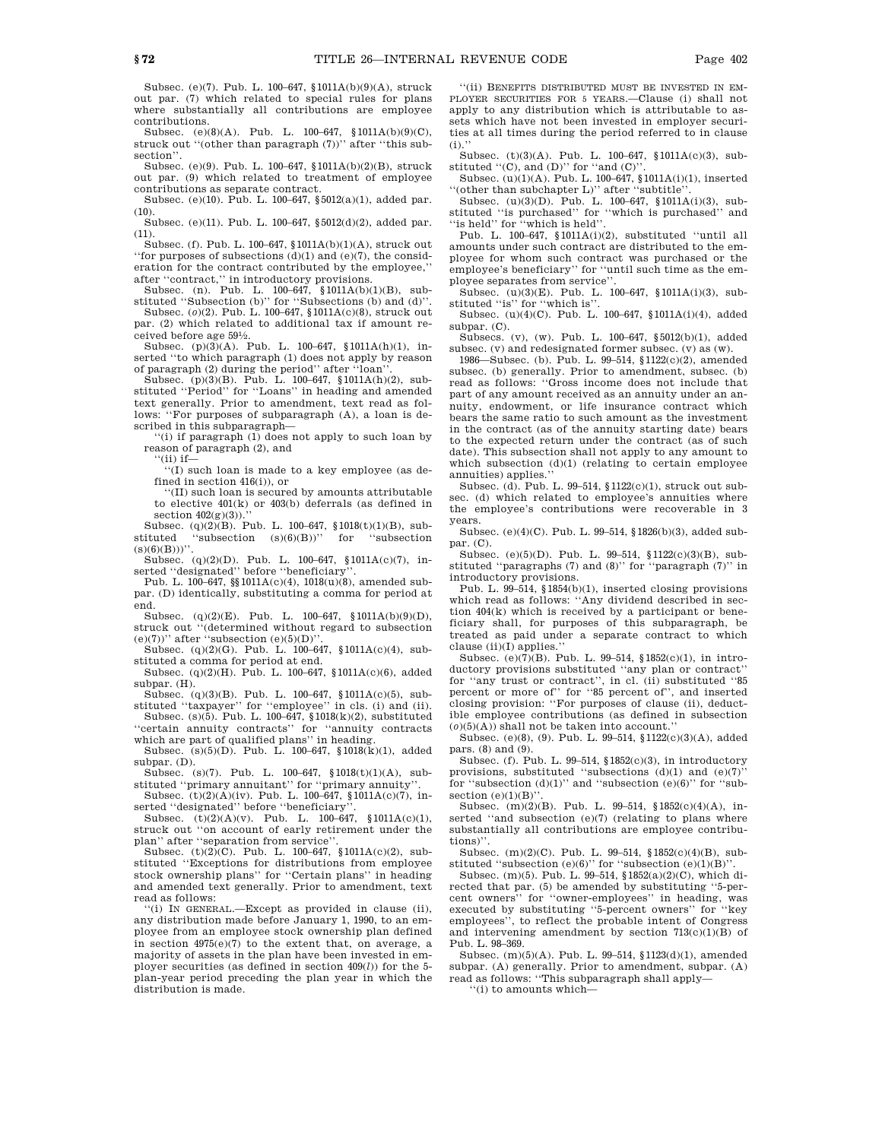Subsec. (e)(7). Pub. L. 100–647, §1011A(b)(9)(A), struck out par. (7) which related to special rules for plans where substantially all contributions are employee contributions.

Subsec. (e)(8)(A). Pub. L. 100–647, §1011A(b)(9)(C), struck out ''(other than paragraph (7))'' after ''this subsection''.

Subsec. (e)(9). Pub. L. 100–647, §1011A(b)(2)(B), struck out par. (9) which related to treatment of employee contributions as separate contract.

Subsec. (e)(10). Pub. L. 100–647, §5012(a)(1), added par.  $(10).$ 

Subsec. (e)(11). Pub. L. 100–647, §5012(d)(2), added par. (11).

Subsec. (f). Pub. L. 100–647, §1011A(b)(1)(A), struck out ''<br/>for purposes of subsections  $\left(\mathrm{d}\right)\!\left(1\right)$  and<br/>  $\left(\mathrm{e}\right)\!\left(7\right),$  the consideration for the contract contributed by the employee,'' after ''contract,'' in introductory provisions.

Subsec. (n). Pub. L. 100–647, §1011A(b)(1)(B), substituted ''Subsection (b)'' for ''Subsections (b) and (d)''.

Subsec. (*o*)(2). Pub. L. 100–647, §1011A(c)(8), struck out par. (2) which related to additional tax if amount received before age 591 ⁄2.

Subsec. (p)(3)(A). Pub. L. 100–647, §1011A(h)(1), inserted ''to which paragraph (1) does not apply by reason of paragraph (2) during the period'' after ''loan''.

Subsec.  $(p)(3)(B)$ . Pub. L. 100–647, §1011A(h)(2), substituted ''Period'' for ''Loans'' in heading and amended text generally. Prior to amendment, text read as follows: ''For purposes of subparagraph (A), a loan is described in this subparagraph—

''(i) if paragraph (1) does not apply to such loan by reason of paragraph (2), and

 $``$ (ii) if—

''(I) such loan is made to a key employee (as defined in section 416(i)), or

''(II) such loan is secured by amounts attributable to elective 401(k) or 403(b) deferrals (as defined in section  $402(g)(3)$ .

Subsec. (q)(2)(B). Pub. L. 100–647, §1018(t)(1)(B), substituted ''subsection (s)(6)(B))'' for ''subsection  $\textup{(s)}\textup{(6)}\textup{(B)}\textup{))}$ ''

Subsec. (q)(2)(D). Pub. L. 100-647, §1011A(c)(7), in-

serted ''designated'' before ''beneficiary''. Pub. L. 100–647, §§1011A(c)(4), 1018(u)(8), amended subpar. (D) identically, substituting a comma for period at end.

Subsec. (q)(2)(E). Pub. L. 100–647, §1011A(b)(9)(D), struck out ''(determined without regard to subsection  $(e)(7)$ <sup>"</sup> after "subsection  $(e)(5)(D)$ "

Subsec. (q)(2)(G). Pub. L. 100–647, §1011A(c)(4), substituted a comma for period at end.

Subsec. (q)(2)(H). Pub. L. 100–647, §1011A(c)(6), added subpar. (H).

Subsec. (q)(3)(B). Pub. L. 100–647, §1011A(c)(5), substituted ''taxpayer'' for ''employee'' in cls. (i) and (ii). Subsec. (s)(5). Pub. L. 100–647, §1018(k)(2), substituted

''certain annuity contracts'' for ''annuity contracts which are part of qualified plans'' in heading.

Subsec. (s)(5)(D). Pub. L. 100–647, §1018(k)(1), added subpar. (D).

Subsec.  $(s)(7)$ . Pub. L. 100–647, §1018(t)(1)(A), sub-

stituted "primary annuitant" for "primary annuity".<br>Subsec.  $(t)(2)(A)(iv)$ . Pub. L. 100–647, §1011 $A(c)(7)$ , inserted ''designated'' before ''beneficiary''.

Subsec.  $(t)(2)(A)(v)$ . Pub. L. 100–647, §1011A(c)(1), struck out ''on account of early retirement under the plan'' after ''separation from service''.

Subsec. (t) $(2)(C)$ . Pub. L. 100–647, §1011A(c) $(2)$ , substituted "Exceptions for distributions from employee stock ownership plans'' for ''Certain plans'' in heading and amended text generally. Prior to amendment, text read as follows:

''(i) IN GENERAL.—Except as provided in clause (ii), any distribution made before January 1, 1990, to an employee from an employee stock ownership plan defined in section 4975(e)(7) to the extent that, on average, a majority of assets in the plan have been invested in employer securities (as defined in section 409(*l*)) for the 5 plan-year period preceding the plan year in which the distribution is made.

''(ii) BENEFITS DISTRIBUTED MUST BE INVESTED IN EM-PLOYER SECURITIES FOR 5 YEARS.—Clause (i) shall not apply to any distribution which is attributable to assets which have not been invested in employer securities at all times during the period referred to in clause  $(i)$ .

Subsec. (t)(3)(A). Pub. L. 100–647, §1011A(c)(3), substituted  $(C)$ , and  $(D)$ " for "and  $(C)$ "

Subsec. (u)(1)(A). Pub. L. 100–647, §1011A(i)(1), inserted "(other than subchapter L)" after "subtitle".<br>Subsec.  $(u)(3)(D)$ . Pub. L. 100–647, §1011A(i)(3), sub-

stituted ''is purchased'' for ''which is purchased'' and ''is held'' for ''which is held''.

Pub. L. 100–647, §1011A(i)(2), substituted ''until all amounts under such contract are distributed to the employee for whom such contract was purchased or the employee's beneficiary'' for ''until such time as the employee separates from service'

Subsec. (u)(3)(E). Pub. L. 100–647, §1011A(i)(3), substituted "is" for "which is".

Subsec. (u)(4)(C). Pub. L. 100–647, §1011A(i)(4), added subpar. (C).

Subsecs. (v), (w). Pub. L. 100–647, §5012(b)(1), added subsec. (v) and redesignated former subsec. (v) as (w).

1986—Subsec. (b). Pub. L. 99–514, §1122(c)(2), amended subsec. (b) generally. Prior to amendment, subsec. (b) read as follows: ''Gross income does not include that part of any amount received as an annuity under an annuity, endowment, or life insurance contract which bears the same ratio to such amount as the investment in the contract (as of the annuity starting date) bears to the expected return under the contract (as of such date). This subsection shall not apply to any amount to which subsection (d)(1) (relating to certain employee annuities) applies.''

Subsec. (d). Pub. L. 99–514, §1122(c)(1), struck out subsec. (d) which related to employee's annuities where the employee's contributions were recoverable in 3 years.

Subsec. (e)(4)(C). Pub. L. 99–514, §1826(b)(3), added subpar. (C).

Subsec. (e)(5)(D). Pub. L. 99–514, §1122(c)(3)(B), substituted ''paragraphs (7) and (8)'' for ''paragraph (7)'' in introductory provisions.

Pub. L. 99–514, §1854(b)(1), inserted closing provisions which read as follows: ''Any dividend described in section 404(k) which is received by a participant or beneficiary shall, for purposes of this subparagraph, be treated as paid under a separate contract to which clause (ii)(I) applies.''

Subsec. (e)(7)(B). Pub. L. 99–514, §1852(c)(1), in introductory provisions substituted ''any plan or contract'' for ''any trust or contract'', in cl. (ii) substituted ''85 percent or more of'' for ''85 percent of'', and inserted closing provision: ''For purposes of clause (ii), deductible employee contributions (as defined in subsection  $(o)(5)(\mathrm{A}))$  shall not be taken into account.'

Subsec. (e)(8), (9). Pub. L. 99–514, §1122(c)(3)(A), added pars. (8) and (9).

Subsec. (f). Pub. L. 99–514, §1852(c)(3), in introductory provisions, substituted "subsections  $(d)(1)$  and  $(e)(7)$ " for "subsection  $(d)(1)$ " and "subsection  $(e)(6)$ " for "subsection  $(e)(1)(B)'$ 

Subsec.  $(m)(2)(B)$ . Pub. L. 99-514, §1852(c)(4)(A), inserted "and subsection  $(e)(7)$  (relating to plans where substantially all contributions are employee contributions)''.

Subsec. (m)(2)(C). Pub. L. 99–514, §1852(c)(4)(B), substituted "subsection  $(e)(6)$ " for "subsection  $(e)(1)(B)$ ".

Subsec. (m)(5). Pub. L. 99–514, §1852(a)(2)(C), which directed that par. (5) be amended by substituting ''5-percent owners'' for ''owner-employees'' in heading, was executed by substituting ''5-percent owners'' for ''key employees'', to reflect the probable intent of Congress and intervening amendment by section  $713(c)(1)(B)$  of Pub. L. 98–369.

Subsec. (m)(5)(A). Pub. L. 99–514, §1123(d)(1), amended subpar. (A) generally. Prior to amendment, subpar. (A) read as follows: ''This subparagraph shall apply—

''(i) to amounts which—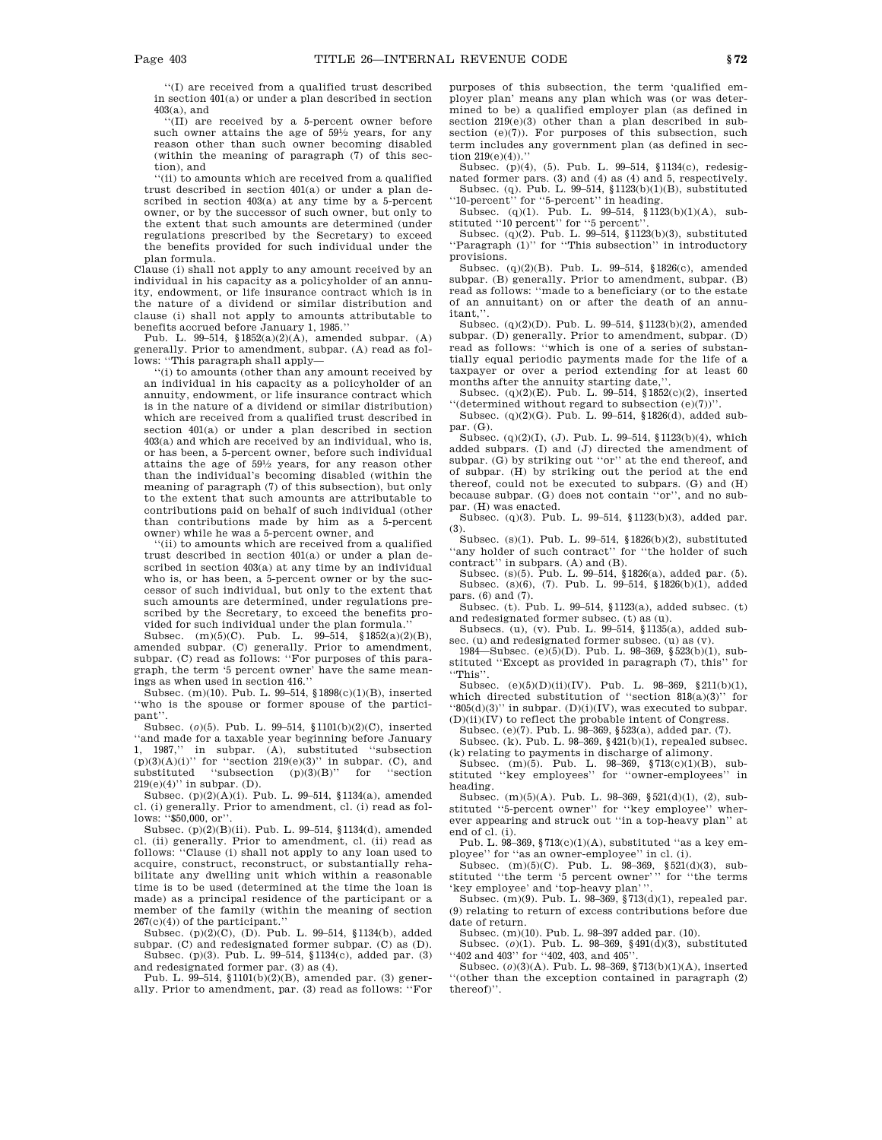''(I) are received from a qualified trust described in section 401(a) or under a plan described in section 403(a), and

''(II) are received by a 5-percent owner before such owner attains the age of 591 ⁄2 years, for any reason other than such owner becoming disabled (within the meaning of paragraph (7) of this section), and

''(ii) to amounts which are received from a qualified trust described in section 401(a) or under a plan described in section 403(a) at any time by a 5-percent owner, or by the successor of such owner, but only to the extent that such amounts are determined (under regulations prescribed by the Secretary) to exceed the benefits provided for such individual under the plan formula.

Clause (i) shall not apply to any amount received by an individual in his capacity as a policyholder of an annuity, endowment, or life insurance contract which is in the nature of a dividend or similar distribution and clause (i) shall not apply to amounts attributable to benefits accrued before January 1, 1985.''

Pub. L. 99–514, §1852(a)(2)(A), amended subpar. (A) generally. Prior to amendment, subpar. (A) read as follows: ''This paragraph shall apply—

''(i) to amounts (other than any amount received by an individual in his capacity as a policyholder of an annuity, endowment, or life insurance contract which is in the nature of a dividend or similar distribution) which are received from a qualified trust described in section 401(a) or under a plan described in section 403(a) and which are received by an individual, who is, or has been, a 5-percent owner, before such individual attains the age of 591 ⁄2 years, for any reason other than the individual's becoming disabled (within the meaning of paragraph (7) of this subsection), but only to the extent that such amounts are attributable to contributions paid on behalf of such individual (other than contributions made by him as a 5-percent owner) while he was a 5-percent owner, and

''(ii) to amounts which are received from a qualified trust described in section 401(a) or under a plan described in section 403(a) at any time by an individual who is, or has been, a 5-percent owner or by the successor of such individual, but only to the extent that such amounts are determined, under regulations prescribed by the Secretary, to exceed the benefits provided for such individual under the plan formula.''

Subsec. (m)(5)(C). Pub. L. 99–514, §1852(a)(2)(B), amended subpar. (C) generally. Prior to amendment, subpar. (C) read as follows: "For purposes of this paragraph, the term '5 percent owner' have the same meanings as when used in section 416.''

Subsec. (m)(10). Pub. L. 99–514, §1898(c)(1)(B), inserted ''who is the spouse or former spouse of the participant''.

Subsec. (*o*)(5). Pub. L. 99–514, §1101(b)(2)(C), inserted ''and made for a taxable year beginning before January 1, 1987,'' in subpar. (A), substituted ''subsection  $(p)(3)(A)(i)$ " for "section  $219(e)(3)$ " in subpar. (C), and substituted "subsection  $(p)(3)(B)$ " for "section  $219(e)(4)$ " in subpar. (D).

Subsec. (p)(2)(A)(i). Pub. L. 99–514, §1134(a), amended cl. (i) generally. Prior to amendment, cl. (i) read as follows: '\$50,000, or'.

Subsec. (p)(2)(B)(ii). Pub. L. 99–514, §1134(d), amended cl. (ii) generally. Prior to amendment, cl. (ii) read as follows: ''Clause (i) shall not apply to any loan used to acquire, construct, reconstruct, or substantially rehabilitate any dwelling unit which within a reasonable time is to be used (determined at the time the loan is made) as a principal residence of the participant or a member of the family (within the meaning of section 267(c)(4)) of the participant.''

Subsec. (p)(2)(C), (D). Pub. L. 99–514, §1134(b), added subpar. (C) and redesignated former subpar. (C) as (D). Subsec. (p)(3). Pub. L. 99–514, §1134(c), added par. (3)

and redesignated former par. (3) as (4). Pub. L. 99–514, §1101(b)(2)(B), amended par. (3) generally. Prior to amendment, par. (3) read as follows: ''For purposes of this subsection, the term 'qualified employer plan' means any plan which was (or was determined to be) a qualified employer plan (as defined in section  $219(e)(3)$  other than a plan described in subsection (e)(7)). For purposes of this subsection, such term includes any government plan (as defined in section  $219(e)(4)$ .''

Subsec. (p)(4), (5). Pub. L. 99–514, §1134(c), redesignated former pars. (3) and (4) as (4) and 5, respectively. Subsec. (q). Pub. L. 99–514, §1123(b)(1)(B), substituted ''10-percent'' for ''5-percent'' in heading.

Subsec. (q)(1). Pub. L. 99-514, §1123(b)(1)(A), substituted ''10 percent'' for ''5 percent''.

Subsec. (q)(2). Pub. L. 99–514, §1123(b)(3), substituted ''Paragraph (1)'' for ''This subsection'' in introductory provisions.

Subsec. (q)(2)(B). Pub. L. 99–514, §1826(c), amended subpar. (B) generally. Prior to amendment, subpar. (B) read as follows: ''made to a beneficiary (or to the estate of an annuitant) on or after the death of an annuitant.'

Subsec. (q)(2)(D). Pub. L. 99–514, §1123(b)(2), amended subpar. (D) generally. Prior to amendment, subpar. (D) read as follows: ''which is one of a series of substantially equal periodic payments made for the life of a taxpayer or over a period extending for at least 60 months after the annuity starting date,

Subsec. (q)(2)(E). Pub. L. 99–514, §1852(c)(2), inserted '(determined without regard to subsection  $(e)(7)$ )'.

Subsec. (q)(2)(G). Pub. L. 99–514, §1826(d), added subpar. (G).

Subsec. (q)(2)(I), (J). Pub. L. 99–514, §1123(b)(4), which added subpars. (I) and (J) directed the amendment of subpar. (G) by striking out ''or'' at the end thereof, and of subpar. (H) by striking out the period at the end thereof, could not be executed to subpars. (G) and (H) because subpar. (G) does not contain ''or'', and no subpar. (H) was enacted.

Subsec. (q)(3). Pub. L. 99–514, §1123(b)(3), added par. (3).

Subsec. (s)(1). Pub. L. 99–514, §1826(b)(2), substituted "any holder of such contract" for "the holder of such

contract'' in subpars. (A) and (B). Subsec. (s)(5). Pub. L. 99–514, §1826(a), added par. (5). Subsec. (s)(6), (7). Pub. L. 99–514, §1826(b)(1), added pars. (6) and (7).

Subsec. (t). Pub. L. 99–514, §1123(a), added subsec. (t) and redesignated former subsec. (t) as (u).

Subsecs. (u), (v). Pub. L. 99–514, §1135(a), added subsec. (u) and redesignated former subsec. (u) as (v).

1984—Subsec. (e)(5)(D). Pub. L. 98–369, §523(b)(1), substituted ''Except as provided in paragraph (7), this'' for ''This''.

Subsec. (e)(5)(D)(ii)(IV). Pub. L. 98–369, §211(b)(1), which directed substitution of "section  $818(a)(3)$ " for  $(805(d)(3))$  in subpar. (D)(i)(IV), was executed to subpar.

(D)(ii)(IV) to reflect the probable intent of Congress. Subsec. (e)(7). Pub. L. 98–369, §523(a), added par. (7).

Subsec. (k). Pub. L. 98–369, §421(b)(1), repealed subsec. (k) relating to payments in discharge of alimony.

Subsec. (m)(5). Pub. L. 98–369, §713(c)(1)(B), sub-stituted ''key employees'' for ''owner-employees'' in heading.

Subsec. (m)(5)(A). Pub. L. 98–369, §521(d)(1), (2), substituted ''5-percent owner'' for ''key employee'' wherever appearing and struck out ''in a top-heavy plan'' at end of cl. (i).

Pub. L. 98–369, §713(c)(1)(A), substituted ''as a key employee'' for ''as an owner-employee'' in cl. (i).

Subsec. (m)(5)(C). Pub. L. 98–369, §521(d)(3), substituted ''the term '5 percent owner''' for ''the terms 'key employee' and 'top-heavy plan'''.

Subsec. (m)(9). Pub. L. 98–369, §713(d)(1), repealed par. (9) relating to return of excess contributions before due date of return.

Subsec. (m)(10). Pub. L. 98–397 added par. (10).

Subsec. (*o*)(1). Pub. L. 98–369, §491(d)(3), substituted '402 and 403" for ''402, 403, and 405".

Subsec. (*o*)(3)(A). Pub. L. 98–369, §713(b)(1)(A), inserted ''(other than the exception contained in paragraph (2) thereof)''.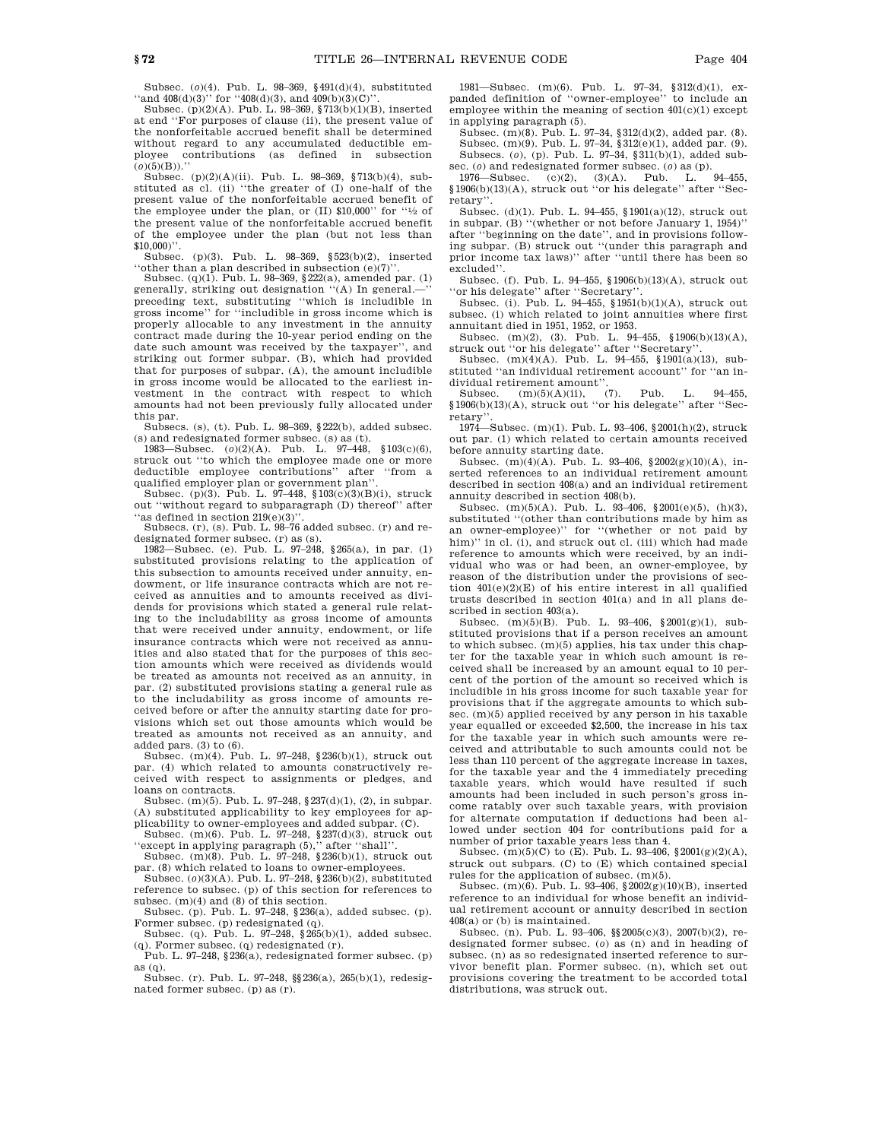Subsec. (*o*)(4). Pub. L. 98–369, §491(d)(4), substituted "and  $408(d)(3)$ " for " $408(d)(3)$ , and  $409(b)(3)(C)$ 

Subsec.  $(p)(2)(A)$ . Pub. L. 98–369, §713(b)(1)(B), inserted at end ''For purposes of clause (ii), the present value of the nonforfeitable accrued benefit shall be determined without regard to any accumulated deductible employee contributions (as defined in subsection (*o*)(5)(B)).''

Subsec. (p)(2)(A)(ii). Pub. L. 98–369, §713(b)(4), substituted as cl. (ii) ''the greater of (I) one-half of the present value of the nonforfeitable accrued benefit of the employee under the plan, or (II) \$10,000'' for ''1 ⁄2 of the present value of the nonforfeitable accrued benefit of the employee under the plan (but not less than  $$10,000)$ ".

Subsec. (p)(3). Pub. L. 98–369, §523(b)(2), inserted ''other than a plan described in subsection (e)(7)''.

Subsec. (q)(1). Pub. L. 98–369, §222(a), amended par. (1) generally, striking out designation "(A) In general.preceding text, substituting ''which is includible in gross income'' for ''includible in gross income which is properly allocable to any investment in the annuity contract made during the 10-year period ending on the date such amount was received by the taxpayer'', and striking out former subpar. (B), which had provided that for purposes of subpar. (A), the amount includible in gross income would be allocated to the earliest investment in the contract with respect to which amounts had not been previously fully allocated under this par.

Subsecs. (s), (t). Pub. L. 98–369, §222(b), added subsec. (s) and redesignated former subsec. (s) as (t).

1983—Subsec. (*o*)(2)(A). Pub. L. 97–448, §103(c)(6), struck out ''to which the employee made one or more deductible employee contributions'' after ''from a qualified employer plan or government plan'

Subsec. (p)(3). Pub. L. 97–448, §103(c)(3)(B)(i), struck out ''without regard to subparagraph (D) thereof'' after 'as defined in section  $219(e)(3)$ ''.

Subsecs. (r), (s). Pub. L. 98–76 added subsec. (r) and re-

designated former subsec. (r) as (s). 1982—Subsec. (e). Pub. L. 97–248, §265(a), in par. (1) substituted provisions relating to the application of this subsection to amounts received under annuity, endowment, or life insurance contracts which are not received as annuities and to amounts received as dividends for provisions which stated a general rule relating to the includability as gross income of amounts that were received under annuity, endowment, or life insurance contracts which were not received as annuities and also stated that for the purposes of this section amounts which were received as dividends would be treated as amounts not received as an annuity, in par. (2) substituted provisions stating a general rule as to the includability as gross income of amounts received before or after the annuity starting date for provisions which set out those amounts which would be treated as amounts not received as an annuity, and added pars. (3) to (6).

Subsec. (m)(4). Pub. L. 97–248, §236(b)(1), struck out par. (4) which related to amounts constructively received with respect to assignments or pledges, and loans on contracts.

Subsec. (m)(5). Pub. L. 97–248, §237(d)(1), (2), in subpar. (A) substituted applicability to key employees for applicability to owner-employees and added subpar. (C).

Subsec. (m)(6). Pub. L. 97–248, §237(d)(3), struck out ''except in applying paragraph (5),'' after ''shall''.

Subsec. (m)(8). Pub. L. 97–248, §236(b)(1), struck out par. (8) which related to loans to owner-employees.

Subsec. (*o*)(3)(A). Pub. L. 97–248, §236(b)(2), substituted reference to subsec. (p) of this section for references to subsec.  $(m)(4)$  and  $(8)$  of this section.

Subsec. (p). Pub. L. 97–248, §236(a), added subsec. (p). Former subsec. (p) redesignated (q).

Subsec. (q). Pub. L. 97–248, §265(b)(1), added subsec. (q). Former subsec. (q) redesignated (r).

Pub. L. 97–248, §236(a), redesignated former subsec. (p) as (q). Subsec. (r). Pub. L. 97–248, §§236(a), 265(b)(1), redesig-

nated former subsec. (p) as (r).

1981—Subsec. (m)(6). Pub. L. 97–34, §312(d)(1), expanded definition of ''owner-employee'' to include an employee within the meaning of section  $401(c)(1)$  except in applying paragraph (5).

Subsec. (m)(8). Pub. L. 97–34, §312(d)(2), added par. (8). Subsec. (m)(9). Pub. L. 97–34, §312(e)(1), added par. (9). Subsecs. (*o*), (p). Pub. L. 97–34, §311(b)(1), added subsec. (*o*) and redesignated former subsec. (*o*) as (p).

1976—Subsec. (c)(2), (3)(A). Pub. L. 94–455, §1906(b)(13)(A), struck out ''or his delegate'' after ''Secretary''.

Subsec. (d)(1). Pub. L. 94–455, §1901(a)(12), struck out in subpar. (B) ''(whether or not before January 1, 1954)'' after ''beginning on the date'', and in provisions following subpar. (B) struck out ''(under this paragraph and prior income tax laws)'' after ''until there has been so excluded''.

Subsec. (f). Pub. L. 94–455, §1906(b)(13)(A), struck out 'or his delegate'' after "Secretary'

Subsec. (i). Pub. L. 94–455, §1951(b)(1)(A), struck out subsec. (i) which related to joint annuities where first annuitant died in 1951, 1952, or 1953.

Subsec. (m)(2), (3). Pub. L. 94–455, §1906(b)(13)(A), struck out ''or his delegate'' after ''Secretary''.

Subsec.  $(m)(4)(A)$ . Pub. L. 94–455, §1901(a)(13), substituted ''an individual retirement account'' for ''an individual retirement amount".<br>Subsec.  $(m)(5)(A)(ii)$ ,  $(7)$ .

 $(m)(5)(A)(ii),$  (7). Pub. L. 94–455, §1906(b)(13)(A), struck out ''or his delegate'' after ''Secretary''.

1974—Subsec. (m)(1). Pub. L. 93–406, §2001(h)(2), struck out par. (1) which related to certain amounts received before annuity starting date.

Subsec. (m)(4)(A). Pub. L. 93–406, §2002(g)(10)(A), inserted references to an individual retirement amount described in section 408(a) and an individual retirement annuity described in section 408(b).

Subsec. (m)(5)(A). Pub. L. 93–406, §2001(e)(5), (h)(3), substituted ''(other than contributions made by him as an owner-employee)'' for ''(whether or not paid by him)" in cl. (i), and struck out cl. (iii) which had made reference to amounts which were received, by an individual who was or had been, an owner-employee, by reason of the distribution under the provisions of section 401(e)(2)(E) of his entire interest in all qualified trusts described in section 401(a) and in all plans described in section 403(a).

Subsec. (m)(5)(B). Pub. L. 93–406, §2001(g)(1), substituted provisions that if a person receives an amount to which subsec. (m)(5) applies, his tax under this chapter for the taxable year in which such amount is received shall be increased by an amount equal to 10 percent of the portion of the amount so received which is includible in his gross income for such taxable year for provisions that if the aggregate amounts to which subsec. (m)(5) applied received by any person in his taxable year equalled or exceeded \$2,500, the increase in his tax for the taxable year in which such amounts were received and attributable to such amounts could not be less than 110 percent of the aggregate increase in taxes, for the taxable year and the 4 immediately preceding taxable years, which would have resulted if such amounts had been included in such person's gross income ratably over such taxable years, with provision for alternate computation if deductions had been allowed under section 404 for contributions paid for a number of prior taxable years less than 4.

Subsec.  $(m)(5)(C)$  to  $(E)$ . Pub. L. 93-406, §2001(g)(2)(A), struck out subpars. (C) to (E) which contained special rules for the application of subsec. (m)(5).

Subsec.  $(m)(6)$ . Pub. L. 93–406, §2002 $(g)(10)(B)$ , inserted reference to an individual for whose benefit an individual retirement account or annuity described in section 408(a) or (b) is maintained.

Subsec. (n). Pub. L. 93–406, §§2005(c)(3), 2007(b)(2), redesignated former subsec. (*o*) as (n) and in heading of subsec. (n) as so redesignated inserted reference to survivor benefit plan. Former subsec. (n), which set out provisions covering the treatment to be accorded total distributions, was struck out.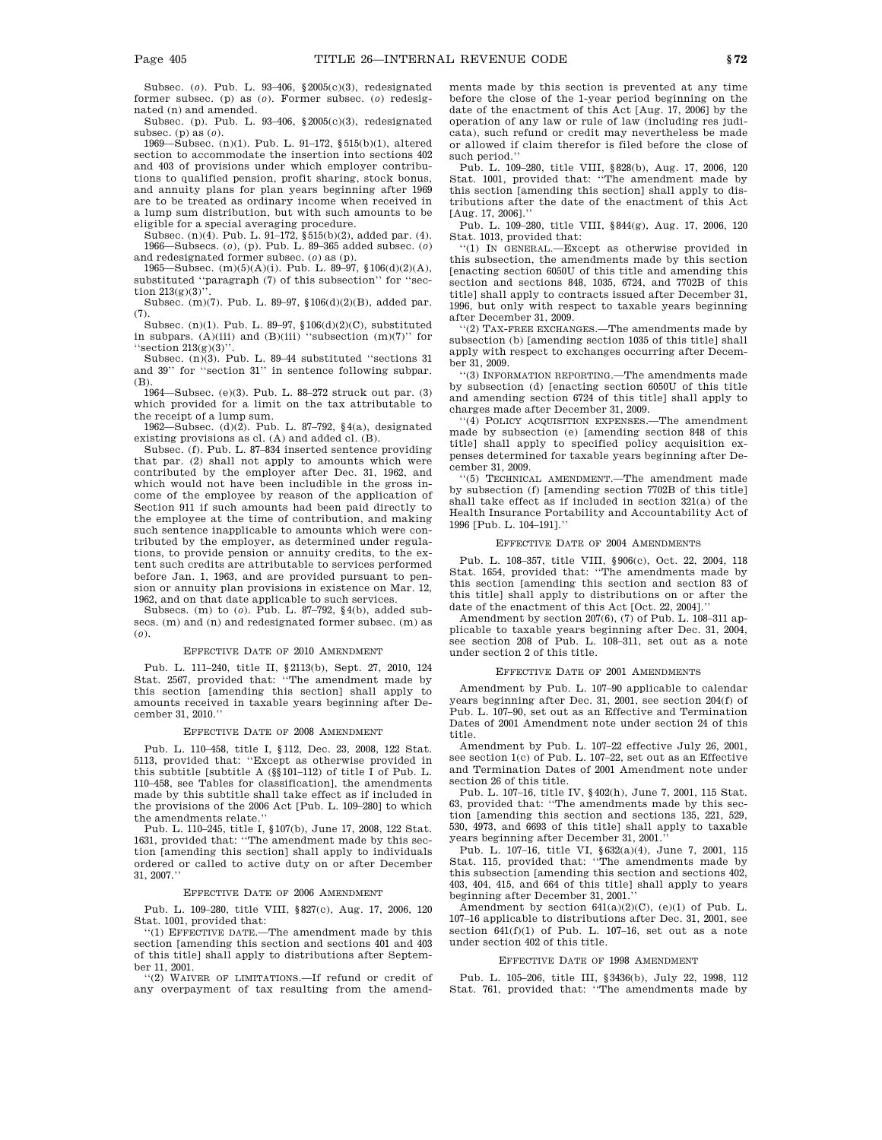Subsec. (*o*). Pub. L. 93–406, §2005(c)(3), redesignated former subsec. (p) as (*o*). Former subsec. (*o*) redesignated (n) and amended.

Subsec. (p). Pub. L. 93–406, §2005(c)(3), redesignated subsec. (p) as (*o*).

1969—Subsec. (n)(1). Pub. L. 91–172, §515(b)(1), altered section to accommodate the insertion into sections 402 and 403 of provisions under which employer contributions to qualified pension, profit sharing, stock bonus, and annuity plans for plan years beginning after 1969 are to be treated as ordinary income when received in a lump sum distribution, but with such amounts to be

eligible for a special averaging procedure. Subsec. (n)(4). Pub. L. 91–172, §515(b)(2), added par. (4). 1966—Subsecs. (*o*), (p). Pub. L. 89–365 added subsec. (*o*) and redesignated former subsec. (*o*) as (p).

1965—Subsec. (m)(5)(A)(i). Pub. L. 89–97, §106(d)(2)(A), substituted ''paragraph (7) of this subsection'' for ''section  $213(g)(3)$ ".

Subsec. (m)(7). Pub. L. 89–97, §106(d)(2)(B), added par. (7).

Subsec. (n)(1). Pub. L. 89–97,  $106(d)(2)(C)$ , substituted in subpars. (A)(iii) and (B)(iii) "subsection  $(m)(7)$ " for "section 213(g)(3)".

Subsec. (n)(3). Pub. L. 89–44 substituted ''sections 31 and 39'' for ''section 31'' in sentence following subpar. (B).

1964—Subsec. (e)(3). Pub. L. 88–272 struck out par. (3) which provided for a limit on the tax attributable to the receipt of a lump sum.

1962—Subsec. (d)(2). Pub. L. 87–792, §4(a), designated existing provisions as cl. (A) and added cl. (B).

Subsec. (f). Pub. L. 87–834 inserted sentence providing that par. (2) shall not apply to amounts which were contributed by the employer after Dec. 31, 1962, and which would not have been includible in the gross income of the employee by reason of the application of Section 911 if such amounts had been paid directly to the employee at the time of contribution, and making such sentence inapplicable to amounts which were contributed by the employer, as determined under regulations, to provide pension or annuity credits, to the extent such credits are attributable to services performed before Jan. 1, 1963, and are provided pursuant to pension or annuity plan provisions in existence on Mar. 12, 1962, and on that date applicable to such services.

Subsecs. (m) to (*o*). Pub. L. 87–792, §4(b), added subsecs. (m) and (n) and redesignated former subsec. (m) as (*o*).

#### EFFECTIVE DATE OF 2010 AMENDMENT

Pub. L. 111–240, title II, §2113(b), Sept. 27, 2010, 124 Stat. 2567, provided that: ''The amendment made by this section [amending this section] shall apply to amounts received in taxable years beginning after December 31, 2010.''

#### EFFECTIVE DATE OF 2008 AMENDMENT

Pub. L. 110–458, title I, §112, Dec. 23, 2008, 122 Stat. 5113, provided that: ''Except as otherwise provided in this subtitle [subtitle A  $(\S_{\S}101-112)$  of title I of Pub. L. 110–458, see Tables for classification], the amendments made by this subtitle shall take effect as if included in the provisions of the 2006 Act [Pub. L. 109–280] to which the amendments relate.''

Pub. L. 110–245, title I, §107(b), June 17, 2008, 122 Stat. 1631, provided that: ''The amendment made by this section [amending this section] shall apply to individuals ordered or called to active duty on or after December 31, 2007.''

#### EFFECTIVE DATE OF 2006 AMENDMENT

Pub. L. 109–280, title VIII, §827(c), Aug. 17, 2006, 120 Stat. 1001, provided that:

''(1) EFFECTIVE DATE.—The amendment made by this section [amending this section and sections 401 and 403 of this title] shall apply to distributions after September 11, 2001.

''(2) WAIVER OF LIMITATIONS.—If refund or credit of any overpayment of tax resulting from the amendments made by this section is prevented at any time before the close of the 1-year period beginning on the date of the enactment of this Act [Aug. 17, 2006] by the operation of any law or rule of law (including res judicata), such refund or credit may nevertheless be made or allowed if claim therefor is filed before the close of such period.''

Pub. L. 109–280, title VIII, §828(b), Aug. 17, 2006, 120 Stat. 1001, provided that: ''The amendment made by this section [amending this section] shall apply to distributions after the date of the enactment of this Act [Aug. 17, 2006].''

Pub. L. 109–280, title VIII, §844(g), Aug. 17, 2006, 120 Stat. 1013, provided that:

''(1) IN GENERAL.—Except as otherwise provided in this subsection, the amendments made by this section [enacting section 6050U of this title and amending this section and sections 848, 1035, 6724, and 7702B of this title] shall apply to contracts issued after December 31, 1996, but only with respect to taxable years beginning after December 31, 2009.

''(2) TAX-FREE EXCHANGES.—The amendments made by subsection (b) [amending section 1035 of this title] shall apply with respect to exchanges occurring after December 31, 2009.

''(3) INFORMATION REPORTING.—The amendments made by subsection (d) [enacting section 6050U of this title and amending section 6724 of this title] shall apply to charges made after December 31, 2009.

''(4) POLICY ACQUISITION EXPENSES.—The amendment made by subsection (e) [amending section 848 of this title] shall apply to specified policy acquisition expenses determined for taxable years beginning after December 31, 2009.

''(5) TECHNICAL AMENDMENT.—The amendment made by subsection (f) [amending section 7702B of this title] shall take effect as if included in section 321(a) of the Health Insurance Portability and Accountability Act of 1996 [Pub. L. 104-191].

#### EFFECTIVE DATE OF 2004 AMENDMENTS

Pub. L. 108–357, title VIII, §906(c), Oct. 22, 2004, 118 Stat. 1654, provided that: ''The amendments made by this section [amending this section and section 83 of this title] shall apply to distributions on or after the date of the enactment of this Act [Oct. 22, 2004].''

Amendment by section 207(6), (7) of Pub. L. 108–311 applicable to taxable years beginning after Dec. 31, 2004, see section 208 of Pub. L. 108–311, set out as a note under section 2 of this title.

#### EFFECTIVE DATE OF 2001 AMENDMENTS

Amendment by Pub. L. 107–90 applicable to calendar years beginning after Dec. 31, 2001, see section 204(f) of Pub. L. 107–90, set out as an Effective and Termination Dates of 2001 Amendment note under section 24 of this title.

Amendment by Pub. L. 107–22 effective July 26, 2001, see section 1(c) of Pub. L. 107–22, set out as an Effective and Termination Dates of 2001 Amendment note under section 26 of this title.

Pub. L. 107–16, title IV, §402(h), June 7, 2001, 115 Stat. 63, provided that: ''The amendments made by this section [amending this section and sections 135, 221, 529, 530, 4973, and 6693 of this title] shall apply to taxable years beginning after December 31, 2001.''

Pub. L. 107–16, title VI, §632(a)(4), June 7, 2001, 115 Stat. 115, provided that: ''The amendments made by this subsection [amending this section and sections 402, 403, 404, 415, and 664 of this title] shall apply to years beginning after December 31, 2001.

Amendment by section 641(a)(2)(C), (e)(1) of Pub. L. 107–16 applicable to distributions after Dec. 31, 2001, see section  $641(f)(1)$  of Pub. L. 107-16, set out as a note under section 402 of this title.

#### EFFECTIVE DATE OF 1998 AMENDMENT

Pub. L. 105–206, title III, §3436(b), July 22, 1998, 112 Stat. 761, provided that: ''The amendments made by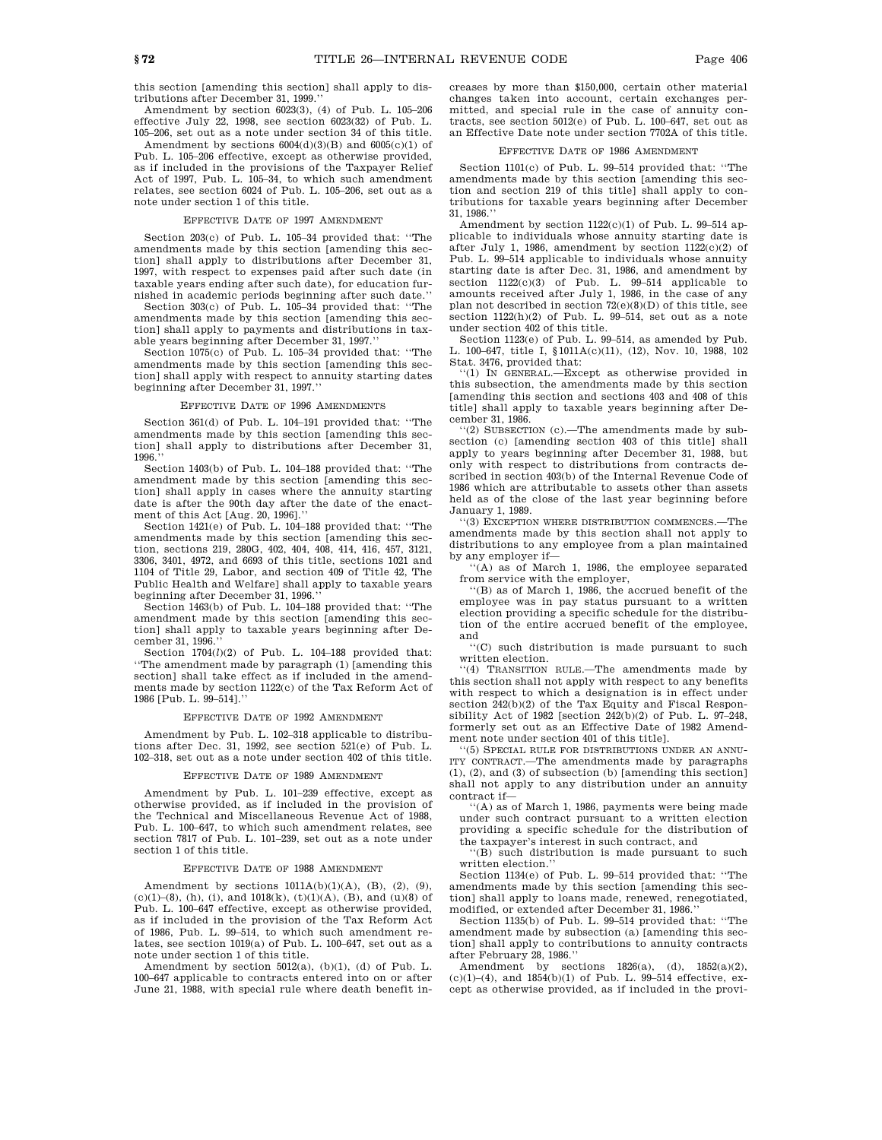Amendment by section 6023(3), (4) of Pub. L. 105–206 effective July 22, 1998, see section 6023(32) of Pub. L. 105–206, set out as a note under section 34 of this title.

Amendment by sections  $6004(d)(3)(B)$  and  $6005(c)(1)$  of Pub. L. 105–206 effective, except as otherwise provided, as if included in the provisions of the Taxpayer Relief Act of 1997, Pub. L. 105–34, to which such amendment relates, see section 6024 of Pub. L. 105–206, set out as a note under section 1 of this title.

#### EFFECTIVE DATE OF 1997 AMENDMENT

Section 203(c) of Pub. L. 105–34 provided that: ''The amendments made by this section [amending this section] shall apply to distributions after December 31, 1997, with respect to expenses paid after such date (in taxable years ending after such date), for education furnished in academic periods beginning after such date.''

Section 303(c) of Pub. L. 105–34 provided that: ''The amendments made by this section [amending this section] shall apply to payments and distributions in taxable years beginning after December 31, 1997.''

Section 1075(c) of Pub. L. 105–34 provided that: ''The amendments made by this section [amending this section] shall apply with respect to annuity starting dates beginning after December 31, 1997.''

#### EFFECTIVE DATE OF 1996 AMENDMENTS

Section 361(d) of Pub. L. 104–191 provided that: ''The amendments made by this section [amending this section] shall apply to distributions after December 31, 1996.''

Section 1403(b) of Pub. L. 104–188 provided that: ''The amendment made by this section [amending this section] shall apply in cases where the annuity starting date is after the 90th day after the date of the enactment of this Act [Aug. 20, 1996].''

Section 1421(e) of Pub. L. 104–188 provided that: ''The amendments made by this section [amending this section, sections 219, 280G, 402, 404, 408, 414, 416, 457, 3121, 3306, 3401, 4972, and 6693 of this title, sections 1021 and 1104 of Title 29, Labor, and section 409 of Title 42, The Public Health and Welfare] shall apply to taxable years beginning after December 31, 1996.''

Section 1463(b) of Pub. L. 104–188 provided that: ''The amendment made by this section [amending this section] shall apply to taxable years beginning after December 31, 1996.''

Section  $1704(l)(2)$  of Pub. L.  $104-188$  provided that: ''The amendment made by paragraph (1) [amending this section] shall take effect as if included in the amendments made by section 1122(c) of the Tax Reform Act of 1986 [Pub. L. 99–514].''

#### EFFECTIVE DATE OF 1992 AMENDMENT

Amendment by Pub. L. 102–318 applicable to distributions after Dec. 31, 1992, see section 521(e) of Pub. L. 102–318, set out as a note under section 402 of this title.

#### EFFECTIVE DATE OF 1989 AMENDMENT

Amendment by Pub. L. 101–239 effective, except as otherwise provided, as if included in the provision of the Technical and Miscellaneous Revenue Act of 1988, Pub. L. 100–647, to which such amendment relates, see section 7817 of Pub. L. 101–239, set out as a note under section 1 of this title.

#### EFFECTIVE DATE OF 1988 AMENDMENT

Amendment by sections  $1011A(b)(1)(A)$ , (B), (2), (9),  $(c)(1)$ – $(8)$ ,  $(h)$ ,  $(i)$ , and  $1018(k)$ ,  $(t)(1)(A)$ ,  $(B)$ , and  $(u)(8)$  of Pub. L. 100–647 effective, except as otherwise provided, as if included in the provision of the Tax Reform Act of 1986, Pub. L. 99–514, to which such amendment relates, see section 1019(a) of Pub. L. 100–647, set out as a note under section 1 of this title.

Amendment by section  $5012(a)$ ,  $(b)(1)$ ,  $(d)$  of Pub. L. 100–647 applicable to contracts entered into on or after June 21, 1988, with special rule where death benefit increases by more than \$150,000, certain other material changes taken into account, certain exchanges permitted, and special rule in the case of annuity contracts, see section 5012(e) of Pub. L. 100–647, set out as an Effective Date note under section 7702A of this title.

#### EFFECTIVE DATE OF 1986 AMENDMENT

Section 1101(c) of Pub. L. 99–514 provided that: ''The amendments made by this section [amending this section and section 219 of this title] shall apply to contributions for taxable years beginning after December 31, 1986.''

Amendment by section  $1122(c)(1)$  of Pub. L. 99–514 applicable to individuals whose annuity starting date is after July 1, 1986, amendment by section  $1122(c)(2)$  of Pub. L. 99–514 applicable to individuals whose annuity starting date is after Dec. 31, 1986, and amendment by section  $1122(c)(3)$  of Pub. L. 99-514 applicable to amounts received after July 1, 1986, in the case of any plan not described in section  $72(e)(8)(D)$  of this title, see section 1122(h)(2) of Pub. L. 99–514, set out as a note under section 402 of this title.

Section 1123(e) of Pub. L. 99–514, as amended by Pub. L. 100–647, title I, §1011A(c)(11), (12), Nov. 10, 1988, 102 Stat. 3476, provided that:

''(1) IN GENERAL.—Except as otherwise provided in this subsection, the amendments made by this section [amending this section and sections 403 and 408 of this title] shall apply to taxable years beginning after December 31, 1986.

''(2) SUBSECTION (c).—The amendments made by subsection (c) [amending section 403 of this title] shall apply to years beginning after December 31, 1988, but only with respect to distributions from contracts described in section 403(b) of the Internal Revenue Code of 1986 which are attributable to assets other than assets held as of the close of the last year beginning before January 1, 1989.

''(3) EXCEPTION WHERE DISTRIBUTION COMMENCES.—The amendments made by this section shall not apply to distributions to any employee from a plan maintained by any employer if—

 $(4)$  as of March 1, 1986, the employee separated from service with the employer,

''(B) as of March 1, 1986, the accrued benefit of the employee was in pay status pursuant to a written election providing a specific schedule for the distribution of the entire accrued benefit of the employee, and

''(C) such distribution is made pursuant to such written election.

''(4) TRANSITION RULE.—The amendments made by this section shall not apply with respect to any benefits with respect to which a designation is in effect under section 242(b)(2) of the Tax Equity and Fiscal Responsibility Act of 1982 [section 242(b)(2) of Pub. L. 97–248, formerly set out as an Effective Date of 1982 Amendment note under section 401 of this title].

''(5) SPECIAL RULE FOR DISTRIBUTIONS UNDER AN ANNU-ITY CONTRACT.—The amendments made by paragraphs (1), (2), and (3) of subsection (b) [amending this section] shall not apply to any distribution under an annuity contract if—

''(A) as of March 1, 1986, payments were being made under such contract pursuant to a written election providing a specific schedule for the distribution of the taxpayer's interest in such contract, and

''(B) such distribution is made pursuant to such written election.''

Section 1134(e) of Pub. L. 99–514 provided that: ''The amendments made by this section [amending this section] shall apply to loans made, renewed, renegotiated, modified, or extended after December 31, 1986.''

Section 1135(b) of Pub. L. 99–514 provided that: ''The amendment made by subsection (a) [amending this section] shall apply to contributions to annuity contracts after February 28, 1986.''

Amendment by sections 1826(a), (d), 1852(a)(2), (c)(1)–(4), and 1854(b)(1) of Pub. L. 99–514 effective, except as otherwise provided, as if included in the provi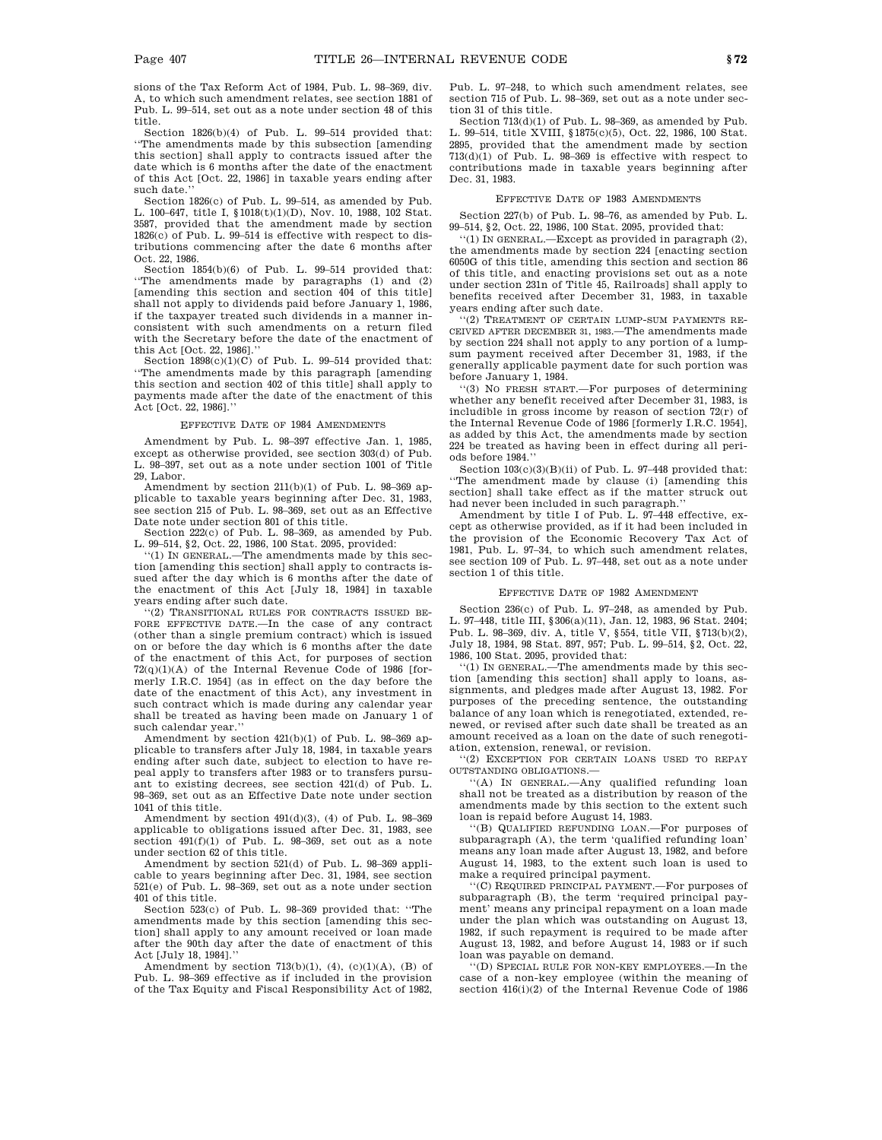sions of the Tax Reform Act of 1984, Pub. L. 98–369, div. A, to which such amendment relates, see section 1881 of Pub. L. 99–514, set out as a note under section 48 of this title.

Section 1826(b)(4) of Pub. L. 99–514 provided that: ''The amendments made by this subsection [amending this section] shall apply to contracts issued after the date which is 6 months after the date of the enactment of this Act [Oct. 22, 1986] in taxable years ending after such date.

Section 1826(c) of Pub. L. 99–514, as amended by Pub. L. 100–647, title I, §1018(t)(1)(D), Nov. 10, 1988, 102 Stat. 3587, provided that the amendment made by section 1826(c) of Pub. L. 99–514 is effective with respect to distributions commencing after the date 6 months after Oct. 22, 1986.

Section 1854(b)(6) of Pub. L. 99–514 provided that: ''The amendments made by paragraphs (1) and (2) [amending this section and section 404 of this title] shall not apply to dividends paid before January 1, 1986, if the taxpayer treated such dividends in a manner inconsistent with such amendments on a return filed with the Secretary before the date of the enactment of this Act [Oct. 22, 1986].''

Section  $1898(c)(1)(C)$  of Pub. L. 99-514 provided that: ''The amendments made by this paragraph [amending this section and section 402 of this title] shall apply to payments made after the date of the enactment of this Act [Oct. 22, 1986].''

#### EFFECTIVE DATE OF 1984 AMENDMENTS

Amendment by Pub. L. 98–397 effective Jan. 1, 1985, except as otherwise provided, see section 303(d) of Pub. L. 98–397, set out as a note under section 1001 of Title 29, Labor.

Amendment by section  $211(b)(1)$  of Pub. L. 98-369 applicable to taxable years beginning after Dec. 31, 1983, see section 215 of Pub. L. 98–369, set out as an Effective Date note under section 801 of this title.

Section 222(c) of Pub. L. 98–369, as amended by Pub. L. 99–514, §2, Oct. 22, 1986, 100 Stat. 2095, provided:

'(1) IN GENERAL.—The amendments made by this section [amending this section] shall apply to contracts issued after the day which is 6 months after the date of the enactment of this Act [July 18, 1984] in taxable years ending after such date.

''(2) TRANSITIONAL RULES FOR CONTRACTS ISSUED BE-FORE EFFECTIVE DATE.—In the case of any contract (other than a single premium contract) which is issued on or before the day which is 6 months after the date of the enactment of this Act, for purposes of section 72(q)(1)(A) of the Internal Revenue Code of 1986 [formerly I.R.C. 1954] (as in effect on the day before the date of the enactment of this Act), any investment in such contract which is made during any calendar year shall be treated as having been made on January 1 of such calendar year.''

Amendment by section 421(b)(1) of Pub. L. 98–369 applicable to transfers after July 18, 1984, in taxable years ending after such date, subject to election to have repeal apply to transfers after 1983 or to transfers pursuant to existing decrees, see section 421(d) of Pub. L. 98–369, set out as an Effective Date note under section 1041 of this title.

Amendment by section  $491(d)(3)$ , (4) of Pub. L.  $98-369$ applicable to obligations issued after Dec. 31, 1983, see section  $491(f)(1)$  of Pub. L. 98-369, set out as a note under section 62 of this title.

Amendment by section 521(d) of Pub. L. 98–369 applicable to years beginning after Dec. 31, 1984, see section 521(e) of Pub. L. 98–369, set out as a note under section 401 of this title.

Section 523(c) of Pub. L. 98–369 provided that: ''The amendments made by this section [amending this section] shall apply to any amount received or loan made after the 90th day after the date of enactment of this Act [July 18, 1984].''

Amendment by section 713(b)(1), (4), (c)(1)(A), (B) of Pub. L. 98–369 effective as if included in the provision of the Tax Equity and Fiscal Responsibility Act of 1982,

Pub. L. 97–248, to which such amendment relates, see section 715 of Pub. L. 98–369, set out as a note under section 31 of this title.

Section 713(d)(1) of Pub. L. 98–369, as amended by Pub. L. 99–514, title XVIII, §1875(c)(5), Oct. 22, 1986, 100 Stat. 2895, provided that the amendment made by section  $713(d)(1)$  of Pub. L. 98-369 is effective with respect to contributions made in taxable years beginning after Dec. 31, 1983.

### EFFECTIVE DATE OF 1983 AMENDMENTS

Section 227(b) of Pub. L. 98–76, as amended by Pub. L. 99–514, §2, Oct. 22, 1986, 100 Stat. 2095, provided that:

''(1) IN GENERAL.—Except as provided in paragraph (2), the amendments made by section 224 [enacting section 6050G of this title, amending this section and section 86 of this title, and enacting provisions set out as a note under section 231n of Title 45, Railroads] shall apply to benefits received after December 31, 1983, in taxable years ending after such date.

'(2) TREATMENT OF CERTAIN LUMP-SUM PAYMENTS RE-CEIVED AFTER DECEMBER 31, 1983.—The amendments made by section 224 shall not apply to any portion of a lumpsum payment received after December 31, 1983, if the generally applicable payment date for such portion was before January 1, 1984.

''(3) NO FRESH START.—For purposes of determining whether any benefit received after December 31, 1983, is includible in gross income by reason of section 72(r) of the Internal Revenue Code of 1986 [formerly I.R.C. 1954], as added by this Act, the amendments made by section 224 be treated as having been in effect during all periods before 1984.''

Section  $103(c)(3)(B)(ii)$  of Pub. L. 97-448 provided that: ''The amendment made by clause (i) [amending this section] shall take effect as if the matter struck out had never been included in such paragraph.''

Amendment by title I of Pub. L. 97–448 effective, except as otherwise provided, as if it had been included in the provision of the Economic Recovery Tax Act of 1981, Pub. L. 97–34, to which such amendment relates, see section 109 of Pub. L. 97–448, set out as a note under section 1 of this title.

#### EFFECTIVE DATE OF 1982 AMENDMENT

Section 236(c) of Pub. L. 97–248, as amended by Pub. L. 97–448, title III, §306(a)(11), Jan. 12, 1983, 96 Stat. 2404; Pub. L. 98–369, div. A, title V, §554, title VII, §713(b)(2), July 18, 1984, 98 Stat. 897, 957; Pub. L. 99–514, §2, Oct. 22, 1986, 100 Stat. 2095, provided that:

''(1) IN GENERAL.—The amendments made by this section [amending this section] shall apply to loans, assignments, and pledges made after August 13, 1982. For purposes of the preceding sentence, the outstanding balance of any loan which is renegotiated, extended, renewed, or revised after such date shall be treated as an amount received as a loan on the date of such renegotiation, extension, renewal, or revision.

''(2) EXCEPTION FOR CERTAIN LOANS USED TO REPAY OUTSTANDING OBLIGATIONS.—

''(A) IN GENERAL.—Any qualified refunding loan shall not be treated as a distribution by reason of the amendments made by this section to the extent such loan is repaid before August 14, 1983.

''(B) QUALIFIED REFUNDING LOAN.—For purposes of subparagraph (A), the term 'qualified refunding loan' means any loan made after August 13, 1982, and before August 14, 1983, to the extent such loan is used to make a required principal payment.

''(C) REQUIRED PRINCIPAL PAYMENT.—For purposes of subparagraph (B), the term 'required principal payment' means any principal repayment on a loan made under the plan which was outstanding on August 13, 1982, if such repayment is required to be made after August 13, 1982, and before August 14, 1983 or if such loan was payable on demand.

''(D) SPECIAL RULE FOR NON-KEY EMPLOYEES.—In the case of a non-key employee (within the meaning of section 416(i)(2) of the Internal Revenue Code of 1986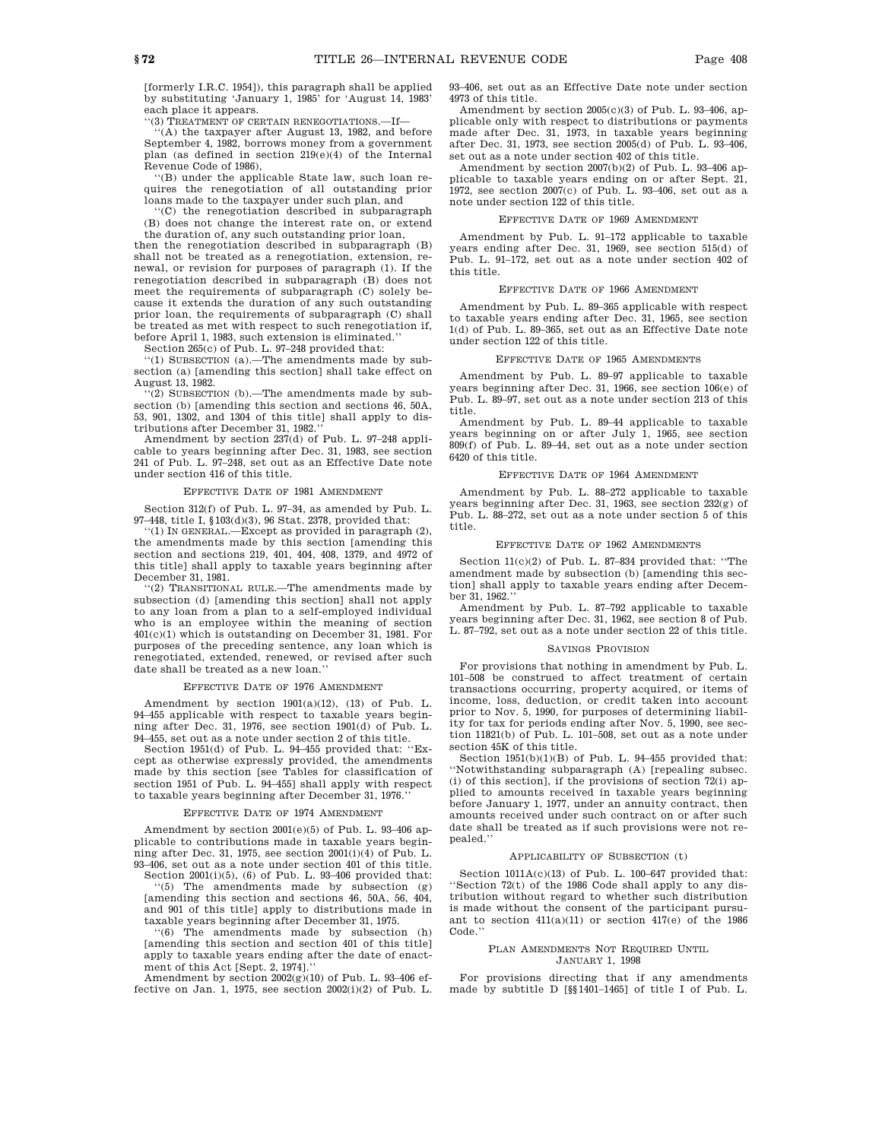[formerly I.R.C. 1954]), this paragraph shall be applied by substituting 'January 1, 1985' for 'August 14, 1983' each place it appears.

"(3) TREATMENT OF CERTAIN RENEGOTIATIONS.

''(A) the taxpayer after August 13, 1982, and before September 4, 1982, borrows money from a government plan (as defined in section 219(e)(4) of the Internal Revenue Code of 1986),

''(B) under the applicable State law, such loan requires the renegotiation of all outstanding prior loans made to the taxpayer under such plan, and

''(C) the renegotiation described in subparagraph (B) does not change the interest rate on, or extend the duration of, any such outstanding prior loan,

then the renegotiation described in subparagraph (B) shall not be treated as a renegotiation, extension, renewal, or revision for purposes of paragraph (1). If the renegotiation described in subparagraph (B) does not meet the requirements of subparagraph (C) solely because it extends the duration of any such outstanding prior loan, the requirements of subparagraph (C) shall be treated as met with respect to such renegotiation if, before April 1, 1983, such extension is eliminated.''

Section 265(c) of Pub. L. 97–248 provided that:

''(1) SUBSECTION (a).—The amendments made by subsection (a) [amending this section] shall take effect on August 13, 1982.

''(2) SUBSECTION (b).—The amendments made by subsection (b) [amending this section and sections 46, 50A, 53, 901, 1302, and 1304 of this title] shall apply to distributions after December 31, 1982.''

Amendment by section 237(d) of Pub. L. 97–248 applicable to years beginning after Dec. 31, 1983, see section 241 of Pub. L. 97–248, set out as an Effective Date note under section 416 of this title.

#### EFFECTIVE DATE OF 1981 AMENDMENT

Section 312(f) of Pub. L. 97–34, as amended by Pub. L. 97–448, title I, §103(d)(3), 96 Stat. 2378, provided that:

''(1) IN GENERAL.—Except as provided in paragraph (2), the amendments made by this section [amending this section and sections 219, 401, 404, 408, 1379, and 4972 of this title] shall apply to taxable years beginning after December 31, 1981.

''(2) TRANSITIONAL RULE.—The amendments made by subsection (d) [amending this section] shall not apply to any loan from a plan to a self-employed individual who is an employee within the meaning of section 401(c)(1) which is outstanding on December 31, 1981. For purposes of the preceding sentence, any loan which is renegotiated, extended, renewed, or revised after such date shall be treated as a new loan.''

#### EFFECTIVE DATE OF 1976 AMENDMENT

Amendment by section 1901(a)(12), (13) of Pub. L. 94–455 applicable with respect to taxable years beginning after Dec. 31, 1976, see section 1901(d) of Pub. L. 94–455, set out as a note under section 2 of this title.

Section 1951(d) of Pub. L. 94–455 provided that: ''Except as otherwise expressly provided, the amendments made by this section [see Tables for classification of section 1951 of Pub. L. 94–455] shall apply with respect to taxable years beginning after December 31, 1976.''

#### EFFECTIVE DATE OF 1974 AMENDMENT

Amendment by section 2001(e)(5) of Pub. L. 93–406 applicable to contributions made in taxable years beginning after Dec. 31, 1975, see section 2001(i)(4) of Pub. L. 93–406, set out as a note under section 401 of this title.

Section 2001(i)(5), (6) of Pub. L. 93–406 provided that:  $\,$ ''(5) The amendments made by subsection (g) [amending this section and sections 46, 50A, 56, 404, and 901 of this title] apply to distributions made in

taxable years beginning after December 31, 1975. ''(6) The amendments made by subsection (h) [amending this section and section 401 of this title] apply to taxable years ending after the date of enactment of this Act [Sept. 2, 1974].

Amendment by section 2002(g)(10) of Pub. L. 93–406 effective on Jan. 1, 1975, see section 2002(i)(2) of Pub. L. 93–406, set out as an Effective Date note under section 4973 of this title.

Amendment by section 2005(c)(3) of Pub. L. 93–406, applicable only with respect to distributions or payments made after Dec. 31, 1973, in taxable years beginning after Dec. 31, 1973, see section 2005(d) of Pub. L. 93–406, set out as a note under section 402 of this title.

Amendment by section 2007(b)(2) of Pub. L. 93–406 applicable to taxable years ending on or after Sept. 21, 1972, see section 2007(c) of Pub. L. 93–406, set out as a note under section 122 of this title.

#### EFFECTIVE DATE OF 1969 AMENDMENT

Amendment by Pub. L. 91–172 applicable to taxable years ending after Dec. 31, 1969, see section 515(d) of Pub. L. 91–172, set out as a note under section 402 of this title.

#### EFFECTIVE DATE OF 1966 AMENDMENT

Amendment by Pub. L. 89–365 applicable with respect to taxable years ending after Dec. 31, 1965, see section 1(d) of Pub. L. 89–365, set out as an Effective Date note under section 122 of this title.

#### EFFECTIVE DATE OF 1965 AMENDMENTS

Amendment by Pub. L. 89–97 applicable to taxable years beginning after Dec. 31, 1966, see section 106(e) of Pub. L. 89–97, set out as a note under section 213 of this title.

Amendment by Pub. L. 89–44 applicable to taxable years beginning on or after July 1, 1965, see section 809(f) of Pub. L. 89–44, set out as a note under section 6420 of this title.

#### EFFECTIVE DATE OF 1964 AMENDMENT

Amendment by Pub. L. 88–272 applicable to taxable years beginning after Dec. 31, 1963, see section 232(g) of Pub. L. 88–272, set out as a note under section 5 of this title.

#### EFFECTIVE DATE OF 1962 AMENDMENTS

Section 11(c)(2) of Pub. L. 87–834 provided that: ''The amendment made by subsection (b) [amending this section] shall apply to taxable years ending after December 31, 1962.''

Amendment by Pub. L. 87–792 applicable to taxable years beginning after Dec. 31, 1962, see section 8 of Pub. L. 87–792, set out as a note under section 22 of this title.

#### SAVINGS PROVISION

For provisions that nothing in amendment by Pub. L. 101–508 be construed to affect treatment of certain transactions occurring, property acquired, or items of income, loss, deduction, or credit taken into account prior to Nov. 5, 1990, for purposes of determining liability for tax for periods ending after Nov. 5, 1990, see section 11821(b) of Pub. L. 101–508, set out as a note under section 45K of this title.

Section  $1951(b)(1)(B)$  of Pub. L.  $94-455$  provided that: ''Notwithstanding subparagraph (A) [repealing subsec. (i) of this section], if the provisions of section 72(i) applied to amounts received in taxable years beginning before January 1, 1977, under an annuity contract, then amounts received under such contract on or after such date shall be treated as if such provisions were not repealed.''

#### APPLICABILITY OF SUBSECTION (t)

Section  $1011A(c)(13)$  of Pub. L. 100-647 provided that: ''Section 72(t) of the 1986 Code shall apply to any distribution without regard to whether such distribution is made without the consent of the participant pursuant to section 411(a)(11) or section 417(e) of the 1986 Code.''

#### PLAN AMENDMENTS NOT REQUIRED UNTIL JANUARY 1, 1998

For provisions directing that if any amendments made by subtitle D [§§1401–1465] of title I of Pub. L.